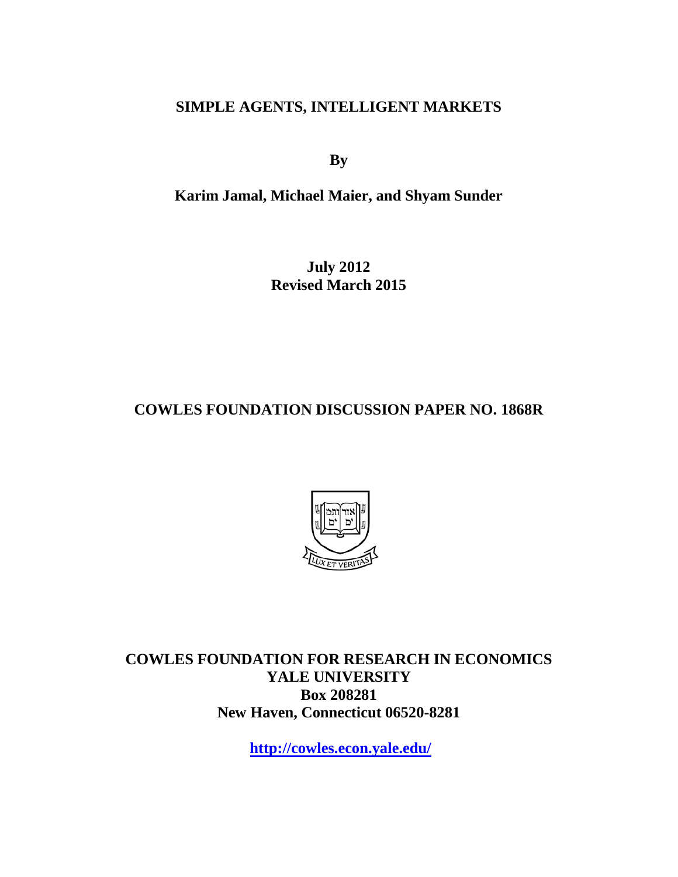# **SIMPLE AGENTS, INTELLIGENT MARKETS**

**By**

**Karim Jamal, Michael Maier, and Shyam Sunder**

**July 2012 Revised March 2015**

# **COWLES FOUNDATION DISCUSSION PAPER NO. 1868R**



**COWLES FOUNDATION FOR RESEARCH IN ECONOMICS YALE UNIVERSITY Box 208281 New Haven, Connecticut 06520-8281**

**<http://cowles.econ.yale.edu/>**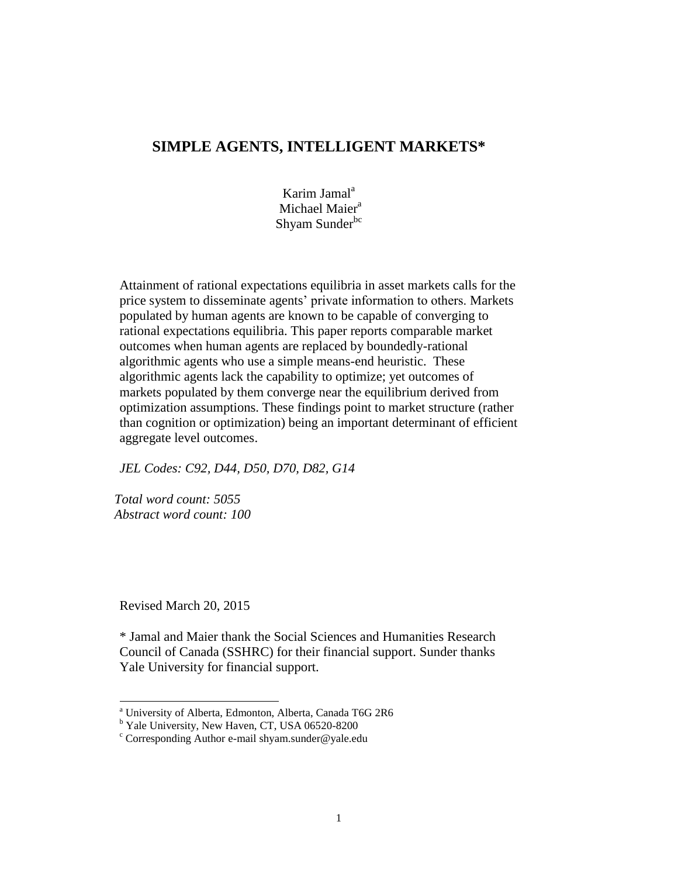# **SIMPLE AGENTS, INTELLIGENT MARKETS\***

Karim Jamal $a$ Michael Maier<sup>a</sup> Shyam Sunder<sup>bc</sup>

Attainment of rational expectations equilibria in asset markets calls for the price system to disseminate agents' private information to others. Markets populated by human agents are known to be capable of converging to rational expectations equilibria. This paper reports comparable market outcomes when human agents are replaced by boundedly-rational algorithmic agents who use a simple means-end heuristic. These algorithmic agents lack the capability to optimize; yet outcomes of markets populated by them converge near the equilibrium derived from optimization assumptions. These findings point to market structure (rather than cognition or optimization) being an important determinant of efficient aggregate level outcomes.

*JEL Codes: C92, D44, D50, D70, D82, G14*

*Total word count: 5055 Abstract word count: 100*

Revised March 20, 2015

 $\overline{a}$ 

\* Jamal and Maier thank the Social Sciences and Humanities Research Council of Canada (SSHRC) for their financial support. Sunder thanks Yale University for financial support.

<sup>a</sup> University of Alberta, Edmonton, Alberta, Canada T6G 2R6

<sup>&</sup>lt;sup>b</sup> Yale University, New Haven, CT, USA 06520-8200

 $\degree$  Corresponding Author e-mail shyam.sunder@yale.edu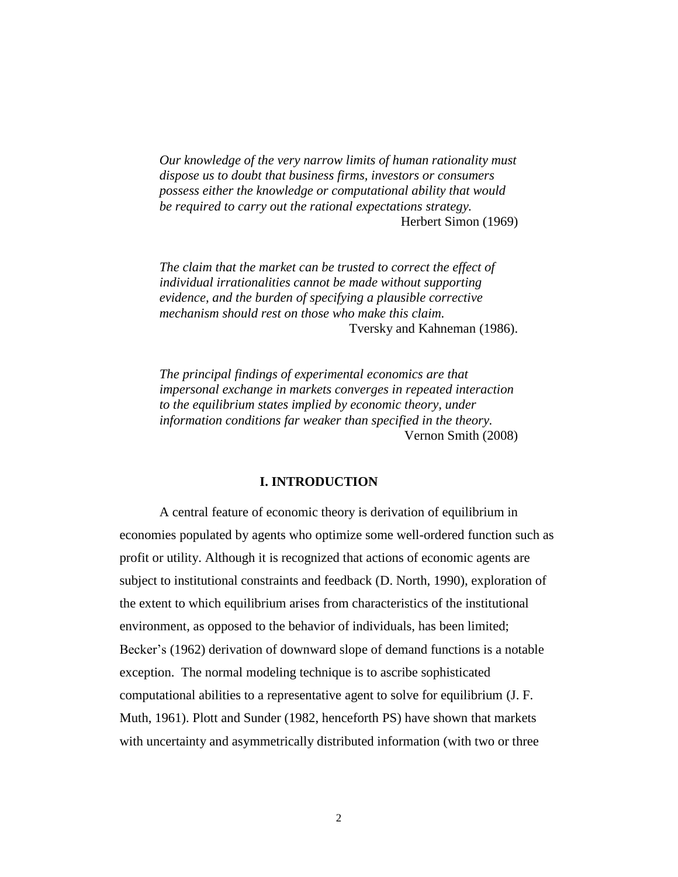*Our knowledge of the very narrow limits of human rationality must dispose us to doubt that business firms, investors or consumers possess either the knowledge or computational ability that would be required to carry out the rational expectations strategy.* Herbert Simon (1969)

*The claim that the market can be trusted to correct the effect of individual irrationalities cannot be made without supporting evidence, and the burden of specifying a plausible corrective mechanism should rest on those who make this claim.* Tversky and Kahneman (1986).

*The principal findings of experimental economics are that impersonal exchange in markets converges in repeated interaction to the equilibrium states implied by economic theory, under information conditions far weaker than specified in the theory.* Vernon Smith (2008)

## **I. INTRODUCTION**

A central feature of economic theory is derivation of equilibrium in economies populated by agents who optimize some well-ordered function such as profit or utility. Although it is recognized that actions of economic agents are subject to institutional constraints and feedback (D. North, 1990), exploration of the extent to which equilibrium arises from characteristics of the institutional environment, as opposed to the behavior of individuals, has been limited; Becker's (1962) derivation of downward slope of demand functions is a notable exception. The normal modeling technique is to ascribe sophisticated computational abilities to a representative agent to solve for equilibrium (J. F. Muth, 1961). Plott and Sunder (1982, henceforth PS) have shown that markets with uncertainty and asymmetrically distributed information (with two or three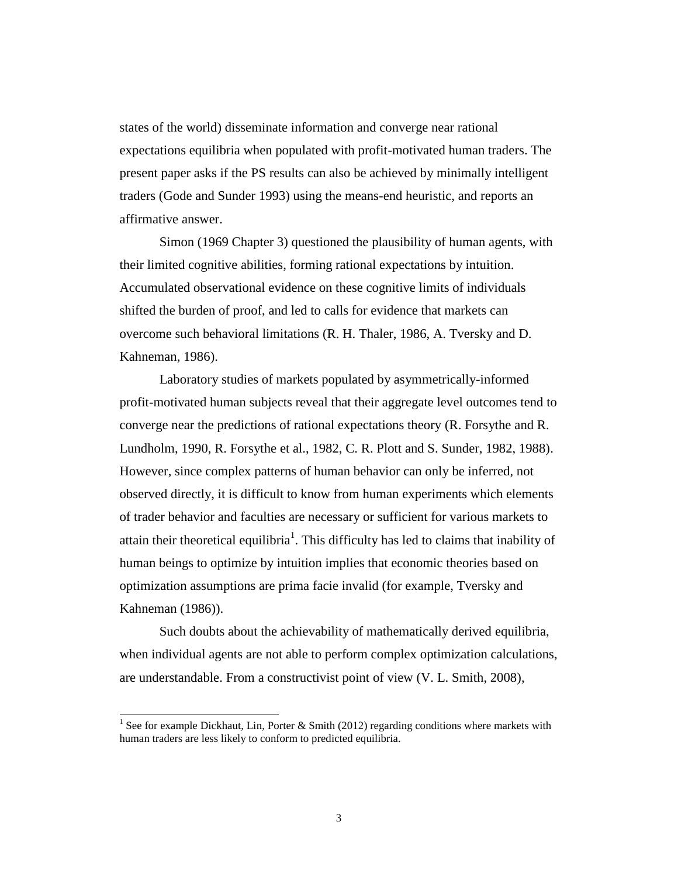states of the world) disseminate information and converge near rational expectations equilibria when populated with profit-motivated human traders. The present paper asks if the PS results can also be achieved by minimally intelligent traders (Gode and Sunder 1993) using the means-end heuristic, and reports an affirmative answer.

Simon (1969 Chapter 3) questioned the plausibility of human agents, with their limited cognitive abilities, forming rational expectations by intuition. Accumulated observational evidence on these cognitive limits of individuals shifted the burden of proof, and led to calls for evidence that markets can overcome such behavioral limitations (R. H. Thaler, 1986, A. Tversky and D. Kahneman, 1986).

Laboratory studies of markets populated by asymmetrically-informed profit-motivated human subjects reveal that their aggregate level outcomes tend to converge near the predictions of rational expectations theory (R. Forsythe and R. Lundholm, 1990, R. Forsythe et al., 1982, C. R. Plott and S. Sunder, 1982, 1988). However, since complex patterns of human behavior can only be inferred, not observed directly, it is difficult to know from human experiments which elements of trader behavior and faculties are necessary or sufficient for various markets to attain their theoretical equilibria<sup>1</sup>. This difficulty has led to claims that inability of human beings to optimize by intuition implies that economic theories based on optimization assumptions are prima facie invalid (for example, Tversky and Kahneman (1986)).

Such doubts about the achievability of mathematically derived equilibria, when individual agents are not able to perform complex optimization calculations, are understandable. From a constructivist point of view (V. L. Smith, 2008),

l

<sup>&</sup>lt;sup>1</sup> See for example Dickhaut, Lin, Porter & Smith (2012) regarding conditions where markets with human traders are less likely to conform to predicted equilibria.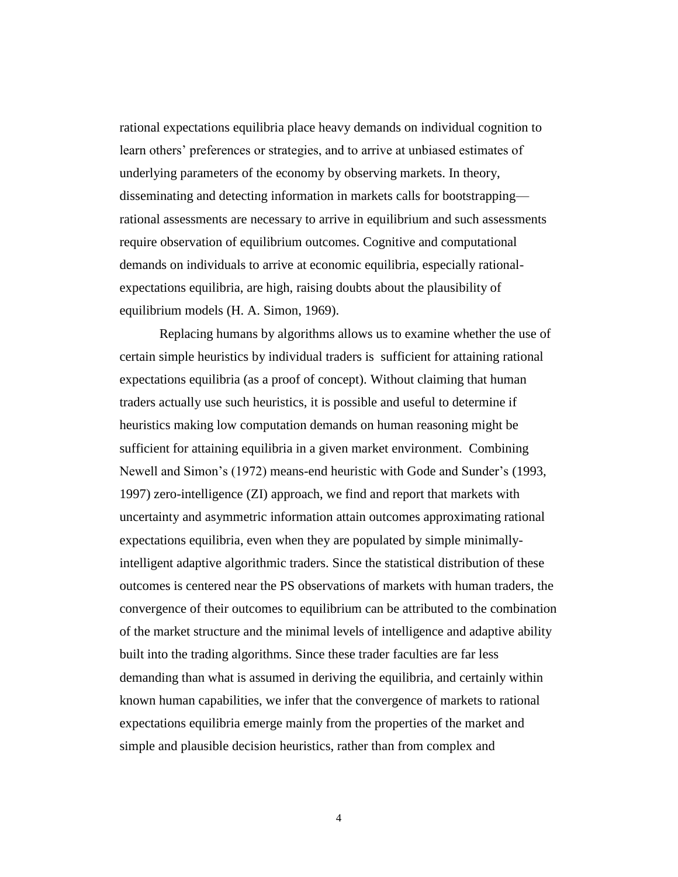rational expectations equilibria place heavy demands on individual cognition to learn others' preferences or strategies, and to arrive at unbiased estimates of underlying parameters of the economy by observing markets. In theory, disseminating and detecting information in markets calls for bootstrapping rational assessments are necessary to arrive in equilibrium and such assessments require observation of equilibrium outcomes. Cognitive and computational demands on individuals to arrive at economic equilibria, especially rationalexpectations equilibria, are high, raising doubts about the plausibility of equilibrium models (H. A. Simon, 1969).

Replacing humans by algorithms allows us to examine whether the use of certain simple heuristics by individual traders is sufficient for attaining rational expectations equilibria (as a proof of concept). Without claiming that human traders actually use such heuristics, it is possible and useful to determine if heuristics making low computation demands on human reasoning might be sufficient for attaining equilibria in a given market environment. Combining Newell and Simon's (1972) means-end heuristic with Gode and Sunder's (1993, 1997) zero-intelligence (ZI) approach, we find and report that markets with uncertainty and asymmetric information attain outcomes approximating rational expectations equilibria, even when they are populated by simple minimallyintelligent adaptive algorithmic traders. Since the statistical distribution of these outcomes is centered near the PS observations of markets with human traders, the convergence of their outcomes to equilibrium can be attributed to the combination of the market structure and the minimal levels of intelligence and adaptive ability built into the trading algorithms. Since these trader faculties are far less demanding than what is assumed in deriving the equilibria, and certainly within known human capabilities, we infer that the convergence of markets to rational expectations equilibria emerge mainly from the properties of the market and simple and plausible decision heuristics, rather than from complex and

4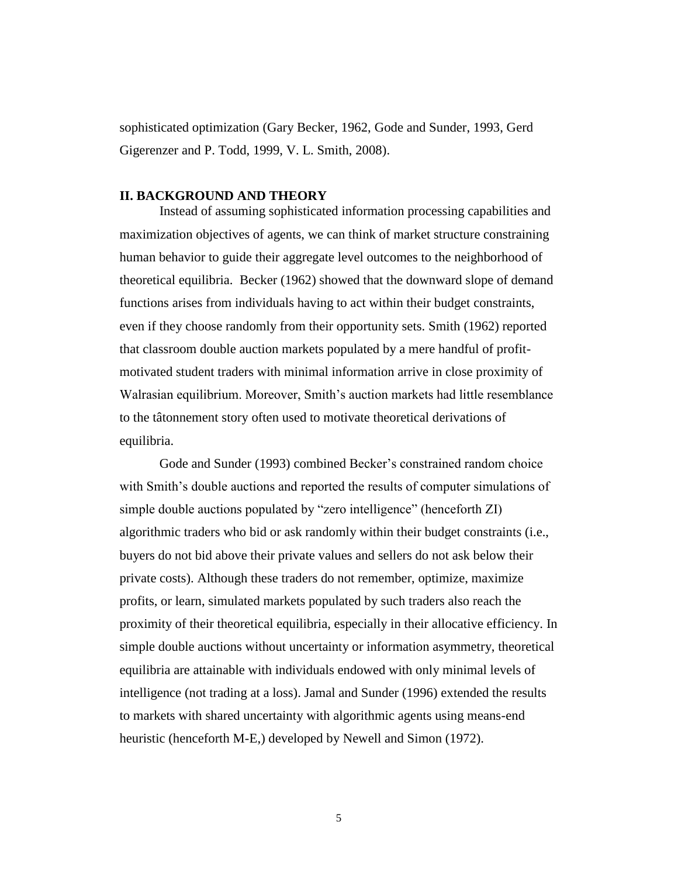sophisticated optimization (Gary Becker, 1962, Gode and Sunder, 1993, Gerd Gigerenzer and P. Todd, 1999, V. L. Smith, 2008).

# **II. BACKGROUND AND THEORY**

Instead of assuming sophisticated information processing capabilities and maximization objectives of agents, we can think of market structure constraining human behavior to guide their aggregate level outcomes to the neighborhood of theoretical equilibria. Becker (1962) showed that the downward slope of demand functions arises from individuals having to act within their budget constraints, even if they choose randomly from their opportunity sets. Smith (1962) reported that classroom double auction markets populated by a mere handful of profitmotivated student traders with minimal information arrive in close proximity of Walrasian equilibrium. Moreover, Smith's auction markets had little resemblance to the [tâtonnement](http://en.wiktionary.org/wiki/t%C3%A2tonnements#French) story often used to motivate theoretical derivations of equilibria.

Gode and Sunder (1993) combined Becker's constrained random choice with Smith's double auctions and reported the results of computer simulations of simple double auctions populated by "zero intelligence" (henceforth ZI) algorithmic traders who bid or ask randomly within their budget constraints (i.e., buyers do not bid above their private values and sellers do not ask below their private costs). Although these traders do not remember, optimize, maximize profits, or learn, simulated markets populated by such traders also reach the proximity of their theoretical equilibria, especially in their allocative efficiency. In simple double auctions without uncertainty or information asymmetry, theoretical equilibria are attainable with individuals endowed with only minimal levels of intelligence (not trading at a loss). Jamal and Sunder (1996) extended the results to markets with shared uncertainty with algorithmic agents using means-end heuristic (henceforth M-E,) developed by Newell and Simon (1972).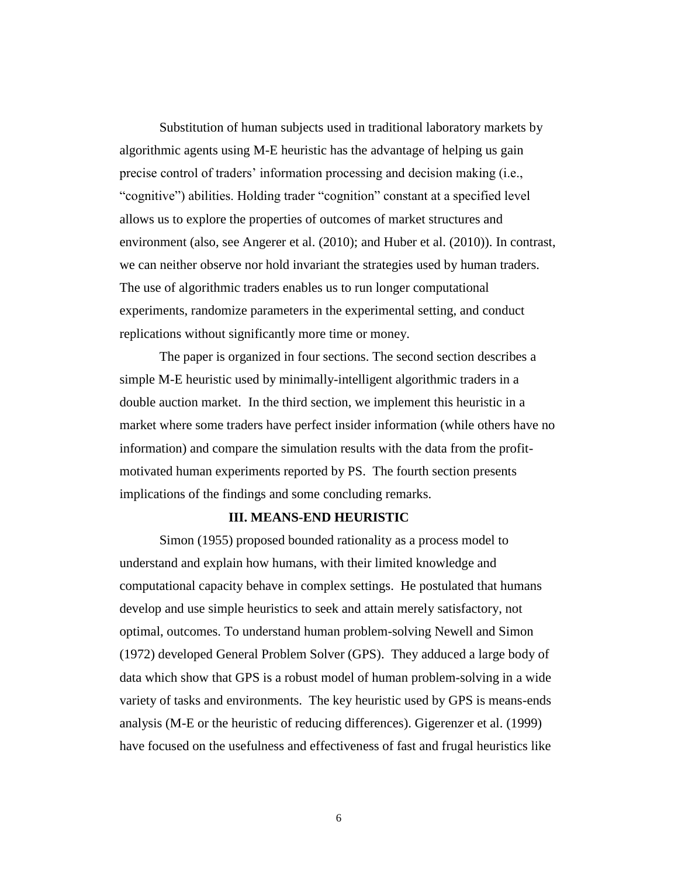Substitution of human subjects used in traditional laboratory markets by algorithmic agents using M-E heuristic has the advantage of helping us gain precise control of traders' information processing and decision making (i.e., "cognitive") abilities. Holding trader "cognition" constant at a specified level allows us to explore the properties of outcomes of market structures and environment (also, see Angerer et al. (2010); and Huber et al. (2010)). In contrast, we can neither observe nor hold invariant the strategies used by human traders. The use of algorithmic traders enables us to run longer computational experiments, randomize parameters in the experimental setting, and conduct replications without significantly more time or money.

The paper is organized in four sections. The second section describes a simple M-E heuristic used by minimally-intelligent algorithmic traders in a double auction market. In the third section, we implement this heuristic in a market where some traders have perfect insider information (while others have no information) and compare the simulation results with the data from the profitmotivated human experiments reported by PS. The fourth section presents implications of the findings and some concluding remarks.

## **III. MEANS-END HEURISTIC**

Simon (1955) proposed bounded rationality as a process model to understand and explain how humans, with their limited knowledge and computational capacity behave in complex settings. He postulated that humans develop and use simple heuristics to seek and attain merely satisfactory, not optimal, outcomes. To understand human problem-solving Newell and Simon (1972) developed General Problem Solver (GPS). They adduced a large body of data which show that GPS is a robust model of human problem-solving in a wide variety of tasks and environments. The key heuristic used by GPS is means-ends analysis (M-E or the heuristic of reducing differences). Gigerenzer et al. (1999) have focused on the usefulness and effectiveness of fast and frugal heuristics like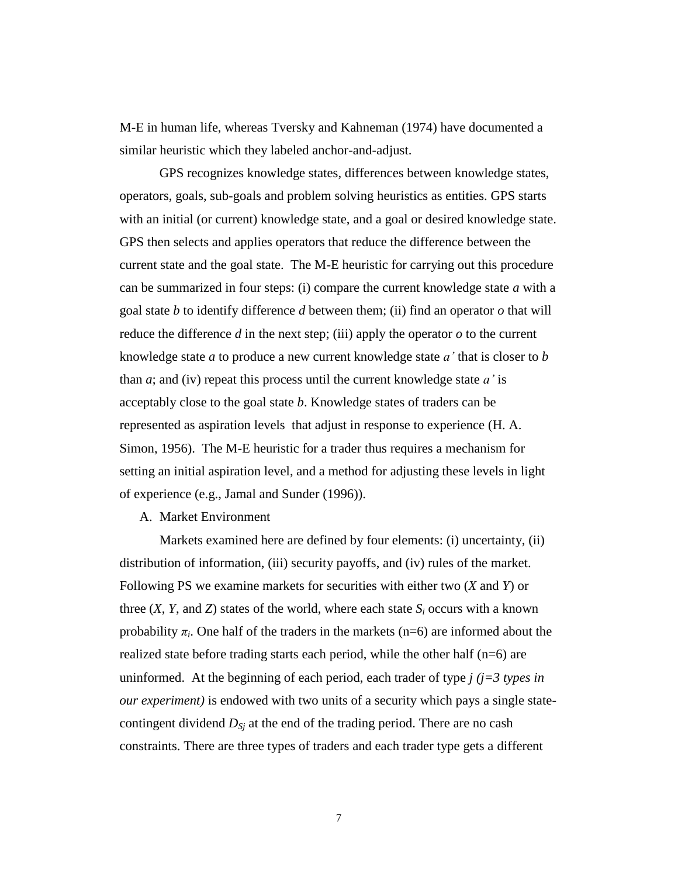M-E in human life, whereas Tversky and Kahneman (1974) have documented a similar heuristic which they labeled anchor-and-adjust.

GPS recognizes knowledge states, differences between knowledge states, operators, goals, sub-goals and problem solving heuristics as entities. GPS starts with an initial (or current) knowledge state, and a goal or desired knowledge state. GPS then selects and applies operators that reduce the difference between the current state and the goal state. The M-E heuristic for carrying out this procedure can be summarized in four steps: (i) compare the current knowledge state *a* with a goal state *b* to identify difference *d* between them; (ii) find an operator *o* that will reduce the difference  $d$  in the next step; (iii) apply the operator  $o$  to the current knowledge state *a* to produce a new current knowledge state *a'* that is closer to *b* than *a*; and (iv) repeat this process until the current knowledge state *a'* is acceptably close to the goal state *b*. Knowledge states of traders can be represented as aspiration levels that adjust in response to experience (H. A. Simon, 1956). The M-E heuristic for a trader thus requires a mechanism for setting an initial aspiration level, and a method for adjusting these levels in light of experience (e.g., Jamal and Sunder (1996)).

# A. Market Environment

Markets examined here are defined by four elements: (i) uncertainty, (ii) distribution of information, (iii) security payoffs, and (iv) rules of the market. Following PS we examine markets for securities with either two (*X* and *Y*) or three  $(X, Y, \text{ and } Z)$  states of the world, where each state  $S_i$  occurs with a known probability  $\pi_i$ . One half of the traders in the markets (n=6) are informed about the realized state before trading starts each period, while the other half (n=6) are uninformed. At the beginning of each period, each trader of type  $j$  ( $j=3$  types in *our experiment)* is endowed with two units of a security which pays a single statecontingent dividend *DSj* at the end of the trading period. There are no cash constraints. There are three types of traders and each trader type gets a different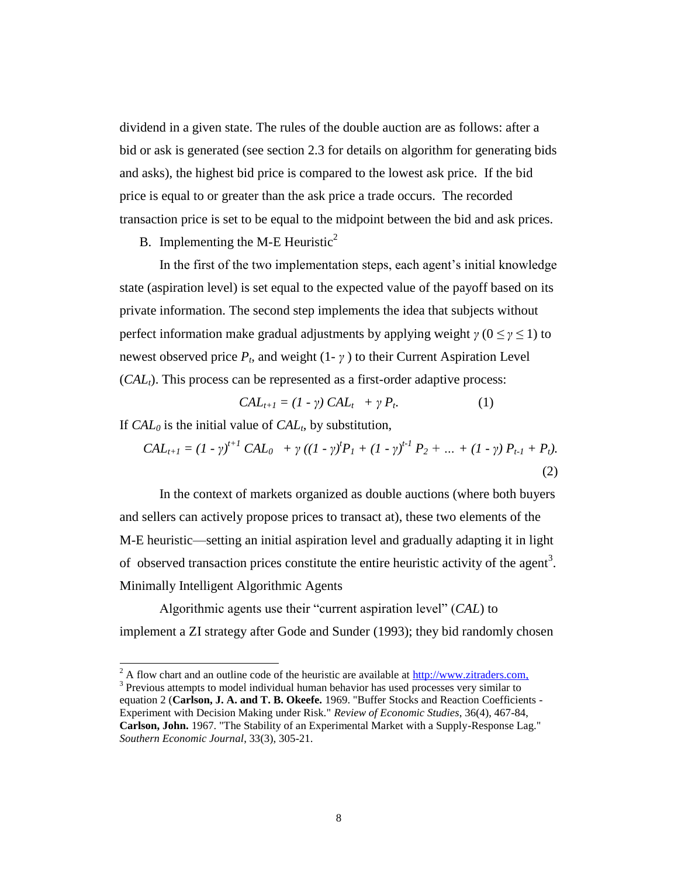dividend in a given state. The rules of the double auction are as follows: after a bid or ask is generated (see section 2.3 for details on algorithm for generating bids and asks), the highest bid price is compared to the lowest ask price. If the bid price is equal to or greater than the ask price a trade occurs. The recorded transaction price is set to be equal to the midpoint between the bid and ask prices.

# B. Implementing the M-E Heuristic<sup>2</sup>

In the first of the two implementation steps, each agent's initial knowledge state (aspiration level) is set equal to the expected value of the payoff based on its private information. The second step implements the idea that subjects without perfect information make gradual adjustments by applying weight  $\gamma$  ( $0 \leq \gamma \leq 1$ ) to newest observed price  $P_t$ , and weight  $(1 - \gamma)$  to their Current Aspiration Level (*CALt*). This process can be represented as a first-order adaptive process:

$$
CALt+1 = (1 - \gamma) CALt + \gamma Pt.
$$
 (1)

If *CAL<sup>0</sup>* is the initial value of *CAL<sup>t</sup>* , by substitution,

l

$$
CAL_{t+1} = (1 - \gamma)^{t+1} CAL_0 + \gamma ((1 - \gamma)^t P_1 + (1 - \gamma)^{t-1} P_2 + ... + (1 - \gamma) P_{t-1} + P_t).
$$
\n(2)

In the context of markets organized as double auctions (where both buyers and sellers can actively propose prices to transact at), these two elements of the M-E heuristic—setting an initial aspiration level and gradually adapting it in light of observed transaction prices constitute the entire heuristic activity of the agent<sup>3</sup>. Minimally Intelligent Algorithmic Agents

Algorithmic agents use their "current aspiration level" (*CAL*) to implement a ZI strategy after Gode and Sunder (1993); they bid randomly chosen

 $^{2}$  A flow chart and an outline code of the heuristic are available at [http://www.zitraders.com,](http://www.zitraders.com/)

 $3$  Previous attempts to model individual human behavior has used processes very similar to equation 2 (**Carlson, J. A. and T. B. Okeefe.** 1969. "Buffer Stocks and Reaction Coefficients - Experiment with Decision Making under Risk." *Review of Economic Studies*, 36(4), 467-84, **Carlson, John.** 1967. "The Stability of an Experimental Market with a Supply-Response Lag." *Southern Economic Journal*, 33(3), 305-21.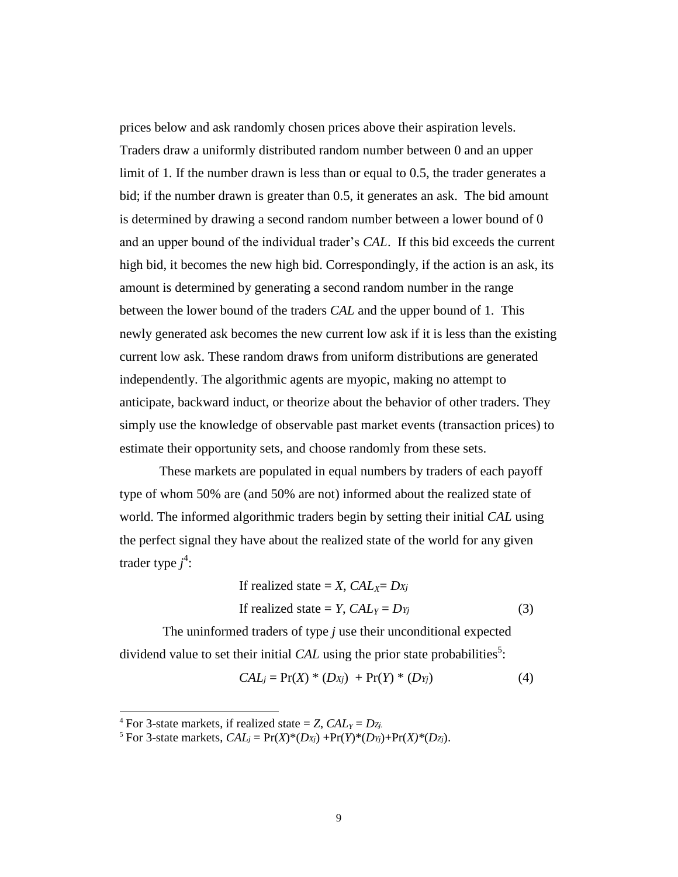prices below and ask randomly chosen prices above their aspiration levels. Traders draw a uniformly distributed random number between 0 and an upper limit of 1. If the number drawn is less than or equal to 0.5, the trader generates a bid; if the number drawn is greater than 0.5, it generates an ask. The bid amount is determined by drawing a second random number between a lower bound of 0 and an upper bound of the individual trader's *CAL*. If this bid exceeds the current high bid, it becomes the new high bid. Correspondingly, if the action is an ask, its amount is determined by generating a second random number in the range between the lower bound of the traders *CAL* and the upper bound of 1. This newly generated ask becomes the new current low ask if it is less than the existing current low ask. These random draws from uniform distributions are generated independently. The algorithmic agents are myopic, making no attempt to anticipate, backward induct, or theorize about the behavior of other traders. They simply use the knowledge of observable past market events (transaction prices) to estimate their opportunity sets, and choose randomly from these sets.

These markets are populated in equal numbers by traders of each payoff type of whom 50% are (and 50% are not) informed about the realized state of world. The informed algorithmic traders begin by setting their initial *CAL* using the perfect signal they have about the realized state of the world for any given trader type *j* 4 :

If realized state = X, 
$$
CAL_X = Dx_j
$$
  
If realized state = Y,  $CAL_Y = Dy_j$  (3)

The uninformed traders of type *j* use their unconditional expected dividend value to set their initial  $CAL$  using the prior state probabilities<sup>5</sup>:

$$
CALj = Pr(X) * (DXj) + Pr(Y) * (DYj)
$$
 (4)

l

<sup>&</sup>lt;sup>4</sup> For 3-state markets, if realized state = *Z*,  $CAL<sub>Y</sub> = D<sub>Zj</sub>$ .

<sup>&</sup>lt;sup>5</sup> For 3-state markets,  $CAL<sub>i</sub> = Pr(X)*(D<sub>X<sub>i</sub></sub>) + Pr(Y)*(D<sub>Y<sub>i</sub></sub>) + Pr(X)*(D<sub>Z<sub>i</sub></sub>).$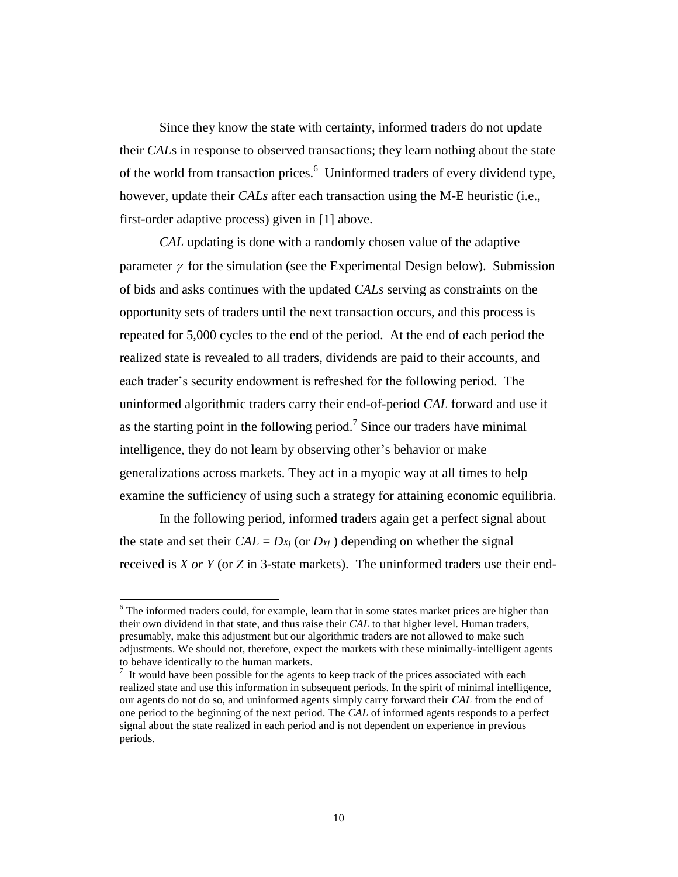Since they know the state with certainty, informed traders do not update their *CAL*s in response to observed transactions; they learn nothing about the state of the world from transaction prices.<sup>6</sup> Uninformed traders of every dividend type, however, update their *CALs* after each transaction using the M-E heuristic (i.e., first-order adaptive process) given in [1] above.

*CAL* updating is done with a randomly chosen value of the adaptive parameter  $\gamma$  for the simulation (see the Experimental Design below). Submission of bids and asks continues with the updated *CALs* serving as constraints on the opportunity sets of traders until the next transaction occurs, and this process is repeated for 5,000 cycles to the end of the period. At the end of each period the realized state is revealed to all traders, dividends are paid to their accounts, and each trader's security endowment is refreshed for the following period. The uninformed algorithmic traders carry their end-of-period *CAL* forward and use it as the starting point in the following period.<sup>7</sup> Since our traders have minimal intelligence, they do not learn by observing other's behavior or make generalizations across markets. They act in a myopic way at all times to help examine the sufficiency of using such a strategy for attaining economic equilibria.

In the following period, informed traders again get a perfect signal about the state and set their  $CAL = D_{Xj}$  (or  $D_{Yj}$ ) depending on whether the signal received is *X or Y* (or *Z* in 3-state markets). The uninformed traders use their end-

 $\overline{a}$ 

 $6$  The informed traders could, for example, learn that in some states market prices are higher than their own dividend in that state, and thus raise their *CAL* to that higher level. Human traders, presumably, make this adjustment but our algorithmic traders are not allowed to make such adjustments. We should not, therefore, expect the markets with these minimally-intelligent agents to behave identically to the human markets.

 $<sup>7</sup>$  It would have been possible for the agents to keep track of the prices associated with each</sup> realized state and use this information in subsequent periods. In the spirit of minimal intelligence, our agents do not do so, and uninformed agents simply carry forward their *CAL* from the end of one period to the beginning of the next period. The *CAL* of informed agents responds to a perfect signal about the state realized in each period and is not dependent on experience in previous periods.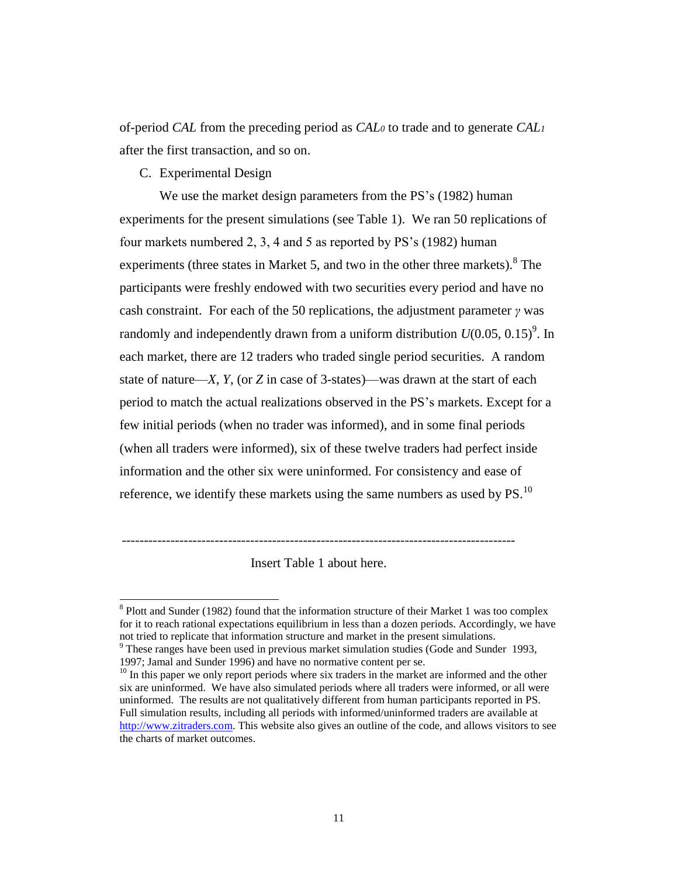of-period *CAL* from the preceding period as *CAL<sup>0</sup>* to trade and to generate *CAL<sup>1</sup>* after the first transaction, and so on.

C. Experimental Design

 $\overline{a}$ 

We use the market design parameters from the PS's (1982) human experiments for the present simulations (see Table 1). We ran 50 replications of four markets numbered 2, 3, 4 and 5 as reported by PS's (1982) human experiments (three states in Market 5, and two in the other three markets). <sup>8</sup> The participants were freshly endowed with two securities every period and have no cash constraint. For each of the 50 replications, the adjustment parameter *γ* was randomly and independently drawn from a uniform distribution  $U(0.05, 0.15)^9$ . In each market, there are 12 traders who traded single period securities. A random state of nature—*X*, *Y*, (or *Z* in case of 3-states)—was drawn at the start of each period to match the actual realizations observed in the PS's markets. Except for a few initial periods (when no trader was informed), and in some final periods (when all traders were informed), six of these twelve traders had perfect inside information and the other six were uninformed. For consistency and ease of reference, we identify these markets using the same numbers as used by  $PS$ .<sup>10</sup>

Insert Table 1 about here.

-----------------------------------------------------------------------------------------

<sup>&</sup>lt;sup>8</sup> Plott and Sunder (1982) found that the information structure of their Market 1 was too complex for it to reach rational expectations equilibrium in less than a dozen periods. Accordingly, we have not tried to replicate that information structure and market in the present simulations.

<sup>&</sup>lt;sup>9</sup> These ranges have been used in previous market simulation studies (Gode and Sunder 1993, 1997; Jamal and Sunder 1996) and have no normative content per se.

 $10$  In this paper we only report periods where six traders in the market are informed and the other six are uninformed. We have also simulated periods where all traders were informed, or all were uninformed. The results are not qualitatively different from human participants reported in PS. Full simulation results, including all periods with informed/uninformed traders are available at [http://www.zitraders.com.](http://www.zitraders.com/) This website also gives an outline of the code, and allows visitors to see the charts of market outcomes.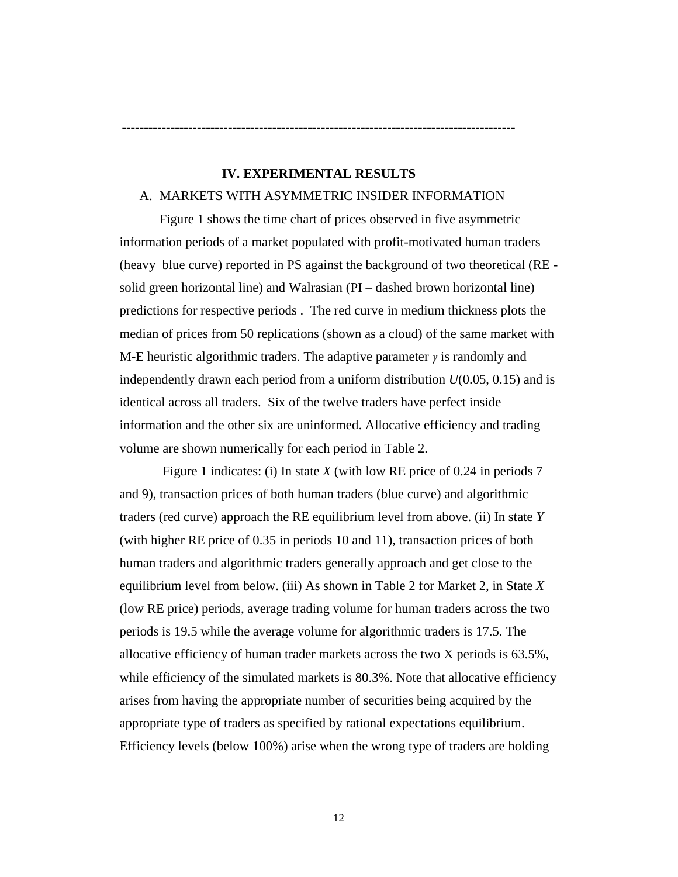# **IV. EXPERIMENTAL RESULTS**

-----------------------------------------------------------------------------------------

### A. MARKETS WITH ASYMMETRIC INSIDER INFORMATION

Figure 1 shows the time chart of prices observed in five asymmetric information periods of a market populated with profit-motivated human traders (heavy blue curve) reported in PS against the background of two theoretical (RE solid green horizontal line) and Walrasian (PI – dashed brown horizontal line) predictions for respective periods . The red curve in medium thickness plots the median of prices from 50 replications (shown as a cloud) of the same market with M-E heuristic algorithmic traders. The adaptive parameter *γ* is randomly and independently drawn each period from a uniform distribution *U*(0.05, 0.15) and is identical across all traders. Six of the twelve traders have perfect inside information and the other six are uninformed. Allocative efficiency and trading volume are shown numerically for each period in Table 2.

Figure 1 indicates: (i) In state *X* (with low RE price of 0.24 in periods 7 and 9), transaction prices of both human traders (blue curve) and algorithmic traders (red curve) approach the RE equilibrium level from above. (ii) In state *Y* (with higher RE price of 0.35 in periods 10 and 11), transaction prices of both human traders and algorithmic traders generally approach and get close to the equilibrium level from below. (iii) As shown in Table 2 for Market 2, in State *X* (low RE price) periods, average trading volume for human traders across the two periods is 19.5 while the average volume for algorithmic traders is 17.5. The allocative efficiency of human trader markets across the two X periods is 63.5%, while efficiency of the simulated markets is 80.3%. Note that allocative efficiency arises from having the appropriate number of securities being acquired by the appropriate type of traders as specified by rational expectations equilibrium. Efficiency levels (below 100%) arise when the wrong type of traders are holding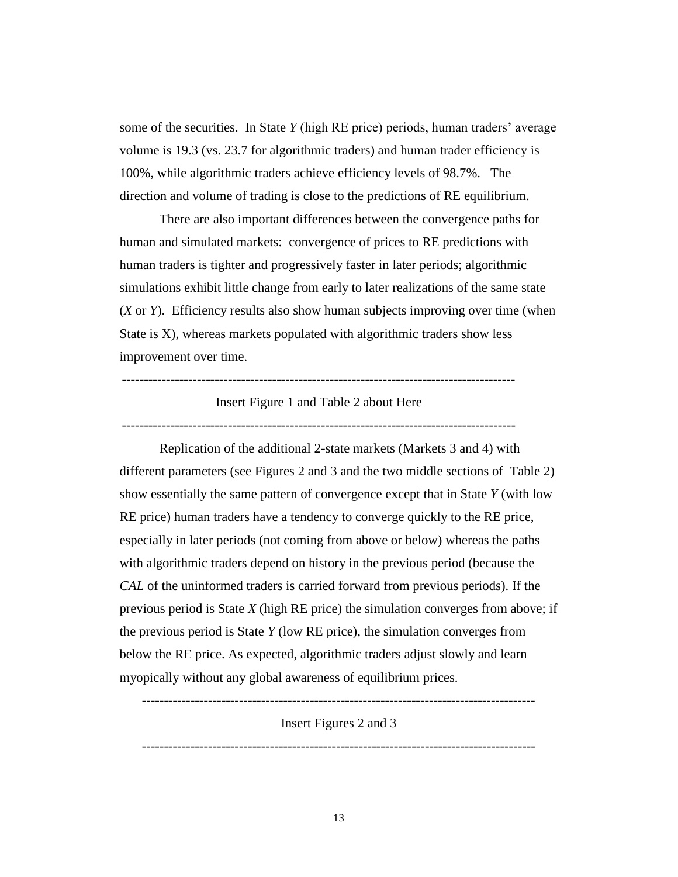some of the securities. In State *Y* (high RE price) periods, human traders' average volume is 19.3 (vs. 23.7 for algorithmic traders) and human trader efficiency is 100%, while algorithmic traders achieve efficiency levels of 98.7%. The direction and volume of trading is close to the predictions of RE equilibrium.

There are also important differences between the convergence paths for human and simulated markets: convergence of prices to RE predictions with human traders is tighter and progressively faster in later periods; algorithmic simulations exhibit little change from early to later realizations of the same state (*X* or *Y*). Efficiency results also show human subjects improving over time (when State is X), whereas markets populated with algorithmic traders show less improvement over time.

#### Insert Figure 1 and Table 2 about Here

-----------------------------------------------------------------------------------------

Replication of the additional 2-state markets (Markets 3 and 4) with different parameters (see Figures 2 and 3 and the two middle sections of Table 2) show essentially the same pattern of convergence except that in State *Y* (with low RE price) human traders have a tendency to converge quickly to the RE price, especially in later periods (not coming from above or below) whereas the paths with algorithmic traders depend on history in the previous period (because the *CAL* of the uninformed traders is carried forward from previous periods). If the previous period is State *X* (high RE price) the simulation converges from above; if the previous period is State *Y* (low RE price), the simulation converges from below the RE price. As expected, algorithmic traders adjust slowly and learn myopically without any global awareness of equilibrium prices.

----------------------------------------------------------------------------------------- Insert Figures 2 and 3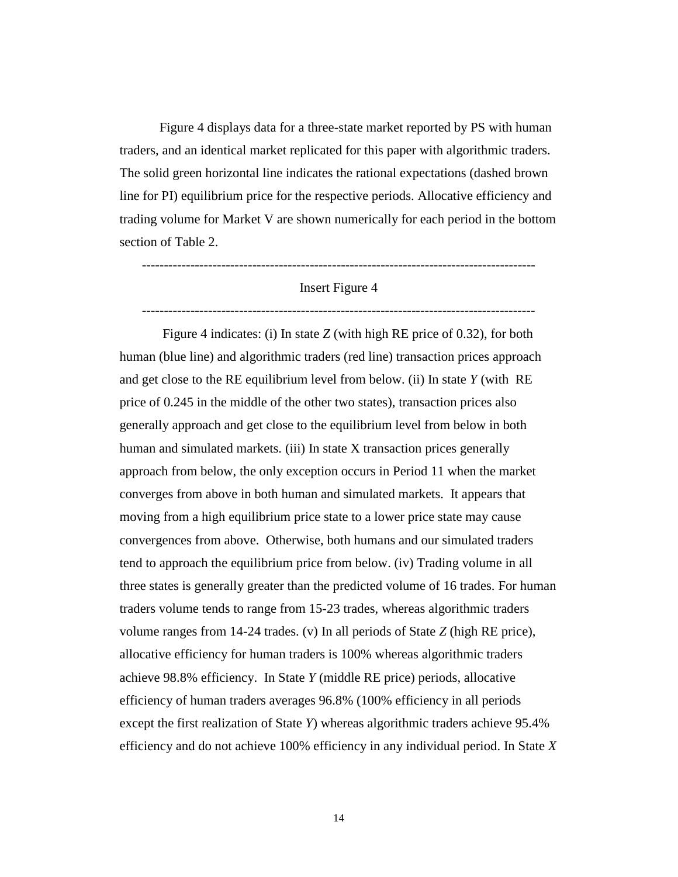Figure 4 displays data for a three-state market reported by PS with human traders, and an identical market replicated for this paper with algorithmic traders. The solid green horizontal line indicates the rational expectations (dashed brown line for PI) equilibrium price for the respective periods. Allocative efficiency and trading volume for Market V are shown numerically for each period in the bottom section of Table 2.

# Insert Figure 4

-----------------------------------------------------------------------------------------

-----------------------------------------------------------------------------------------

Figure 4 indicates: (i) In state *Z* (with high RE price of 0.32), for both human (blue line) and algorithmic traders (red line) transaction prices approach and get close to the RE equilibrium level from below. (ii) In state *Y* (with RE price of 0.245 in the middle of the other two states), transaction prices also generally approach and get close to the equilibrium level from below in both human and simulated markets. (iii) In state X transaction prices generally approach from below, the only exception occurs in Period 11 when the market converges from above in both human and simulated markets. It appears that moving from a high equilibrium price state to a lower price state may cause convergences from above. Otherwise, both humans and our simulated traders tend to approach the equilibrium price from below. (iv) Trading volume in all three states is generally greater than the predicted volume of 16 trades. For human traders volume tends to range from 15-23 trades, whereas algorithmic traders volume ranges from 14-24 trades. (v) In all periods of State *Z* (high RE price), allocative efficiency for human traders is 100% whereas algorithmic traders achieve 98.8% efficiency. In State *Y* (middle RE price) periods, allocative efficiency of human traders averages 96.8% (100% efficiency in all periods except the first realization of State *Y*) whereas algorithmic traders achieve 95.4% efficiency and do not achieve 100% efficiency in any individual period. In State *X*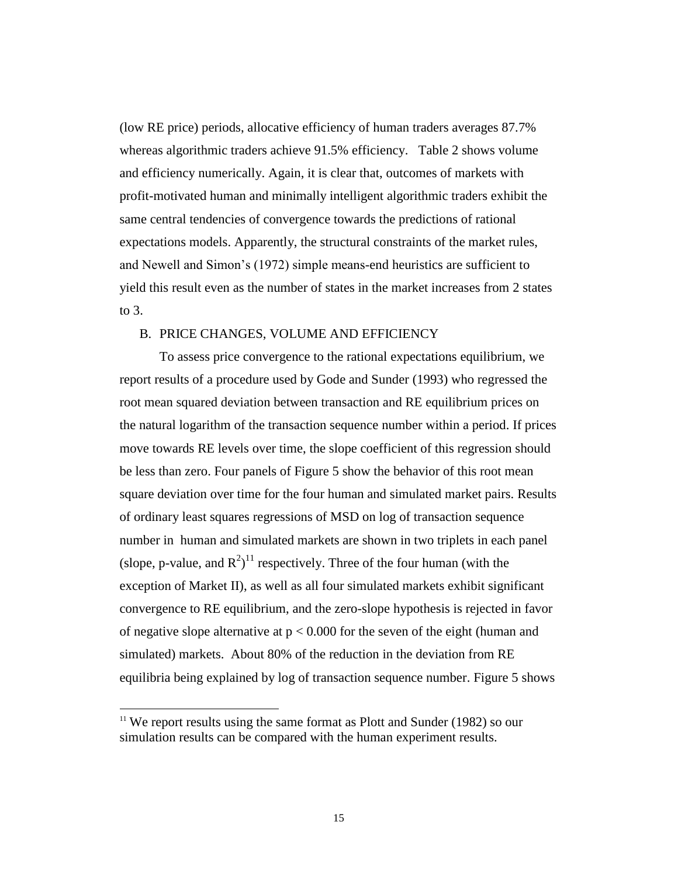(low RE price) periods, allocative efficiency of human traders averages 87.7% whereas algorithmic traders achieve 91.5% efficiency. Table 2 shows volume and efficiency numerically. Again, it is clear that, outcomes of markets with profit-motivated human and minimally intelligent algorithmic traders exhibit the same central tendencies of convergence towards the predictions of rational expectations models. Apparently, the structural constraints of the market rules, and Newell and Simon's (1972) simple means-end heuristics are sufficient to yield this result even as the number of states in the market increases from 2 states to 3.

### B. PRICE CHANGES, VOLUME AND EFFICIENCY

To assess price convergence to the rational expectations equilibrium, we report results of a procedure used by Gode and Sunder (1993) who regressed the root mean squared deviation between transaction and RE equilibrium prices on the natural logarithm of the transaction sequence number within a period. If prices move towards RE levels over time, the slope coefficient of this regression should be less than zero. Four panels of Figure 5 show the behavior of this root mean square deviation over time for the four human and simulated market pairs. Results of ordinary least squares regressions of MSD on log of transaction sequence number in human and simulated markets are shown in two triplets in each panel (slope, p-value, and  $R^2$ )<sup>11</sup> respectively. Three of the four human (with the exception of Market II), as well as all four simulated markets exhibit significant convergence to RE equilibrium, and the zero-slope hypothesis is rejected in favor of negative slope alternative at  $p < 0.000$  for the seven of the eight (human and simulated) markets. About 80% of the reduction in the deviation from RE equilibria being explained by log of transaction sequence number. Figure 5 shows

 $\overline{a}$ 

 $11$  We report results using the same format as Plott and Sunder (1982) so our simulation results can be compared with the human experiment results.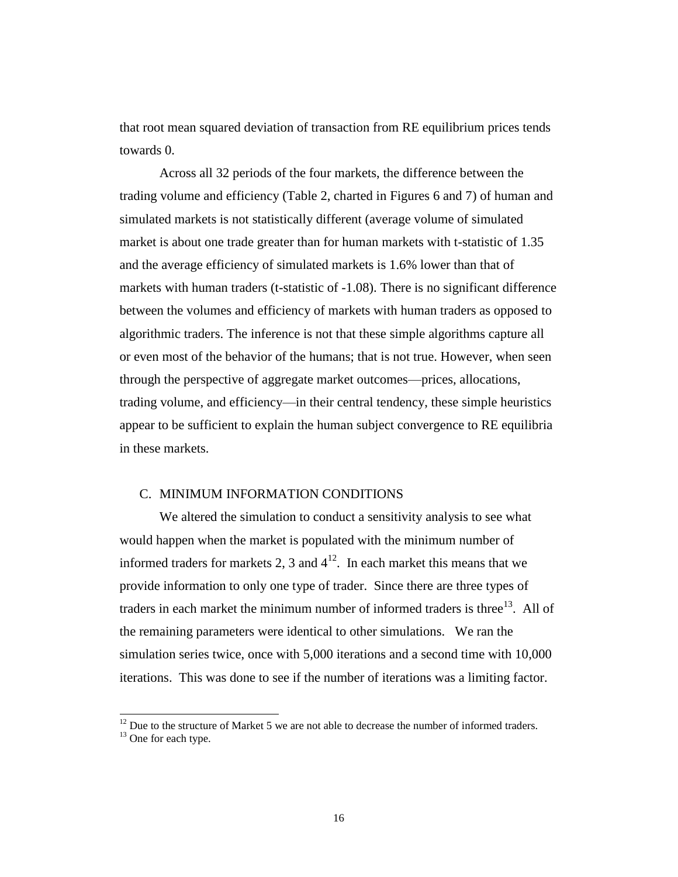that root mean squared deviation of transaction from RE equilibrium prices tends towards 0.

Across all 32 periods of the four markets, the difference between the trading volume and efficiency (Table 2, charted in Figures 6 and 7) of human and simulated markets is not statistically different (average volume of simulated market is about one trade greater than for human markets with t-statistic of 1.35 and the average efficiency of simulated markets is 1.6% lower than that of markets with human traders (t-statistic of -1.08). There is no significant difference between the volumes and efficiency of markets with human traders as opposed to algorithmic traders. The inference is not that these simple algorithms capture all or even most of the behavior of the humans; that is not true. However, when seen through the perspective of aggregate market outcomes—prices, allocations, trading volume, and efficiency—in their central tendency, these simple heuristics appear to be sufficient to explain the human subject convergence to RE equilibria in these markets.

# C. MINIMUM INFORMATION CONDITIONS

l

We altered the simulation to conduct a sensitivity analysis to see what would happen when the market is populated with the minimum number of informed traders for markets 2, 3 and  $4^{12}$ . In each market this means that we provide information to only one type of trader. Since there are three types of traders in each market the minimum number of informed traders is three<sup>13</sup>. All of the remaining parameters were identical to other simulations. We ran the simulation series twice, once with 5,000 iterations and a second time with 10,000 iterations. This was done to see if the number of iterations was a limiting factor.

 $12$  Due to the structure of Market 5 we are not able to decrease the number of informed traders. <sup>13</sup> One for each type.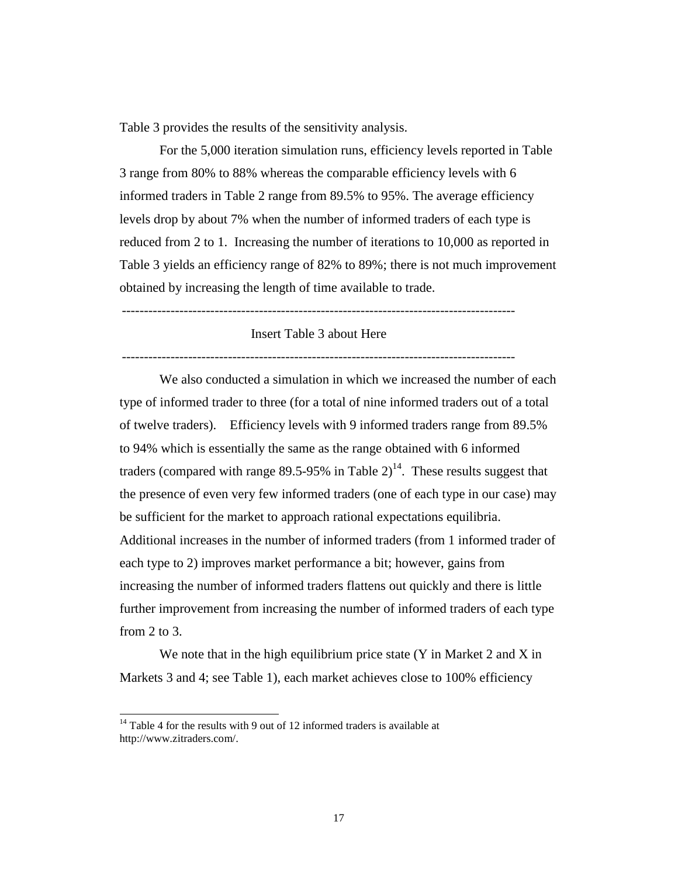Table 3 provides the results of the sensitivity analysis.

For the 5,000 iteration simulation runs, efficiency levels reported in Table 3 range from 80% to 88% whereas the comparable efficiency levels with 6 informed traders in Table 2 range from 89.5% to 95%. The average efficiency levels drop by about 7% when the number of informed traders of each type is reduced from 2 to 1. Increasing the number of iterations to 10,000 as reported in Table 3 yields an efficiency range of 82% to 89%; there is not much improvement obtained by increasing the length of time available to trade.

-----------------------------------------------------------------------------------------

# Insert Table 3 about Here

-----------------------------------------------------------------------------------------

We also conducted a simulation in which we increased the number of each type of informed trader to three (for a total of nine informed traders out of a total of twelve traders). Efficiency levels with 9 informed traders range from 89.5% to 94% which is essentially the same as the range obtained with 6 informed traders (compared with range 89.5-95% in Table  $2)^{14}$ . These results suggest that the presence of even very few informed traders (one of each type in our case) may be sufficient for the market to approach rational expectations equilibria. Additional increases in the number of informed traders (from 1 informed trader of each type to 2) improves market performance a bit; however, gains from increasing the number of informed traders flattens out quickly and there is little further improvement from increasing the number of informed traders of each type from  $2$  to  $3$ .

We note that in the high equilibrium price state (Y in Market 2 and X in Markets 3 and 4; see Table 1), each market achieves close to 100% efficiency

l

 $14$  Table 4 for the results with 9 out of 12 informed traders is available at http://www.zitraders.com/.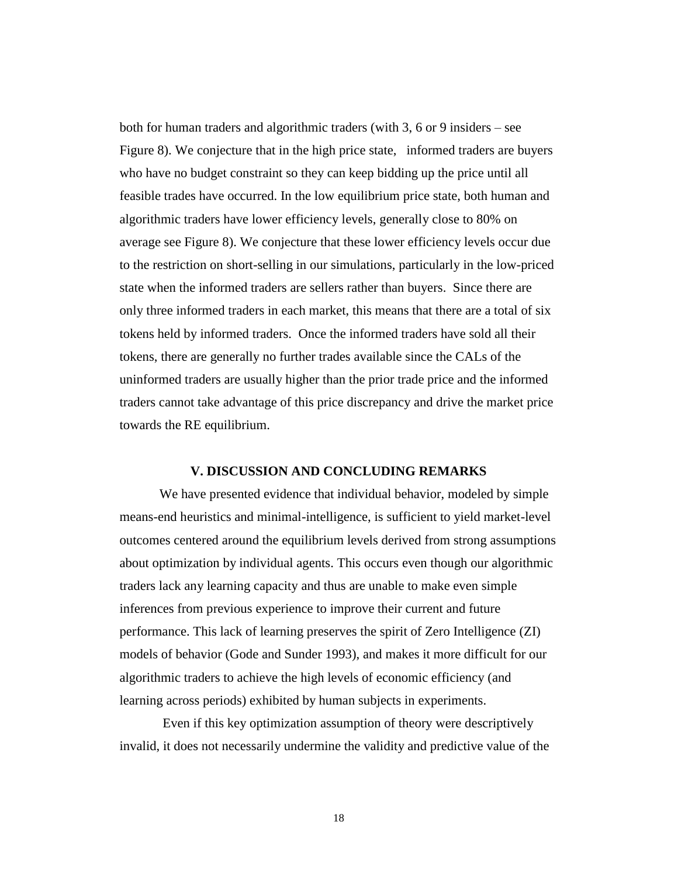both for human traders and algorithmic traders (with 3, 6 or 9 insiders – see Figure 8). We conjecture that in the high price state, informed traders are buyers who have no budget constraint so they can keep bidding up the price until all feasible trades have occurred. In the low equilibrium price state, both human and algorithmic traders have lower efficiency levels, generally close to 80% on average see Figure 8). We conjecture that these lower efficiency levels occur due to the restriction on short-selling in our simulations, particularly in the low-priced state when the informed traders are sellers rather than buyers. Since there are only three informed traders in each market, this means that there are a total of six tokens held by informed traders. Once the informed traders have sold all their tokens, there are generally no further trades available since the CALs of the uninformed traders are usually higher than the prior trade price and the informed traders cannot take advantage of this price discrepancy and drive the market price towards the RE equilibrium.

### **V. DISCUSSION AND CONCLUDING REMARKS**

We have presented evidence that individual behavior, modeled by simple means-end heuristics and minimal-intelligence, is sufficient to yield market-level outcomes centered around the equilibrium levels derived from strong assumptions about optimization by individual agents. This occurs even though our algorithmic traders lack any learning capacity and thus are unable to make even simple inferences from previous experience to improve their current and future performance. This lack of learning preserves the spirit of Zero Intelligence (ZI) models of behavior (Gode and Sunder 1993), and makes it more difficult for our algorithmic traders to achieve the high levels of economic efficiency (and learning across periods) exhibited by human subjects in experiments.

Even if this key optimization assumption of theory were descriptively invalid, it does not necessarily undermine the validity and predictive value of the

18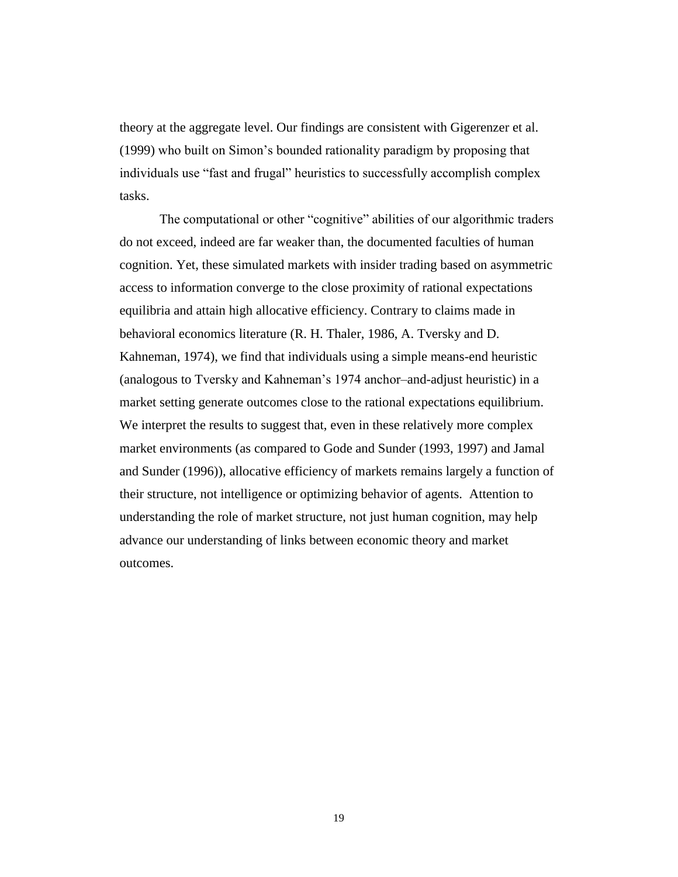theory at the aggregate level. Our findings are consistent with Gigerenzer et al. (1999) who built on Simon's bounded rationality paradigm by proposing that individuals use "fast and frugal" heuristics to successfully accomplish complex tasks.

The computational or other "cognitive" abilities of our algorithmic traders do not exceed, indeed are far weaker than, the documented faculties of human cognition. Yet, these simulated markets with insider trading based on asymmetric access to information converge to the close proximity of rational expectations equilibria and attain high allocative efficiency. Contrary to claims made in behavioral economics literature (R. H. Thaler, 1986, A. Tversky and D. Kahneman, 1974), we find that individuals using a simple means-end heuristic (analogous to Tversky and Kahneman's 1974 anchor–and-adjust heuristic) in a market setting generate outcomes close to the rational expectations equilibrium. We interpret the results to suggest that, even in these relatively more complex market environments (as compared to Gode and Sunder (1993, 1997) and Jamal and Sunder (1996)), allocative efficiency of markets remains largely a function of their structure, not intelligence or optimizing behavior of agents. Attention to understanding the role of market structure, not just human cognition, may help advance our understanding of links between economic theory and market outcomes.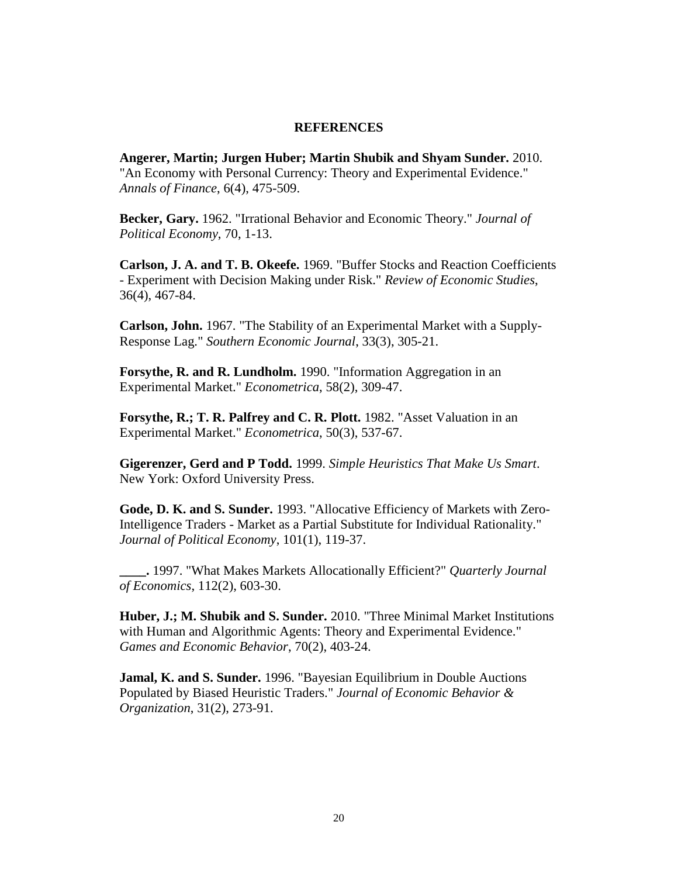## **REFERENCES**

**Angerer, Martin; Jurgen Huber; Martin Shubik and Shyam Sunder.** 2010. "An Economy with Personal Currency: Theory and Experimental Evidence." *Annals of Finance*, 6(4), 475-509.

**Becker, Gary.** 1962. "Irrational Behavior and Economic Theory." *Journal of Political Economy*, 70, 1-13.

**Carlson, J. A. and T. B. Okeefe.** 1969. "Buffer Stocks and Reaction Coefficients - Experiment with Decision Making under Risk." *Review of Economic Studies*, 36(4), 467-84.

**Carlson, John.** 1967. "The Stability of an Experimental Market with a Supply-Response Lag." *Southern Economic Journal*, 33(3), 305-21.

**Forsythe, R. and R. Lundholm.** 1990. "Information Aggregation in an Experimental Market." *Econometrica*, 58(2), 309-47.

**Forsythe, R.; T. R. Palfrey and C. R. Plott.** 1982. "Asset Valuation in an Experimental Market." *Econometrica*, 50(3), 537-67.

**Gigerenzer, Gerd and P Todd.** 1999. *Simple Heuristics That Make Us Smart*. New York: Oxford University Press.

**Gode, D. K. and S. Sunder.** 1993. "Allocative Efficiency of Markets with Zero-Intelligence Traders - Market as a Partial Substitute for Individual Rationality." *Journal of Political Economy*, 101(1), 119-37.

**\_\_\_\_.** 1997. "What Makes Markets Allocationally Efficient?" *Quarterly Journal of Economics*, 112(2), 603-30.

**Huber, J.; M. Shubik and S. Sunder.** 2010. "Three Minimal Market Institutions with Human and Algorithmic Agents: Theory and Experimental Evidence." *Games and Economic Behavior*, 70(2), 403-24.

**Jamal, K. and S. Sunder.** 1996. "Bayesian Equilibrium in Double Auctions Populated by Biased Heuristic Traders." *Journal of Economic Behavior & Organization*, 31(2), 273-91.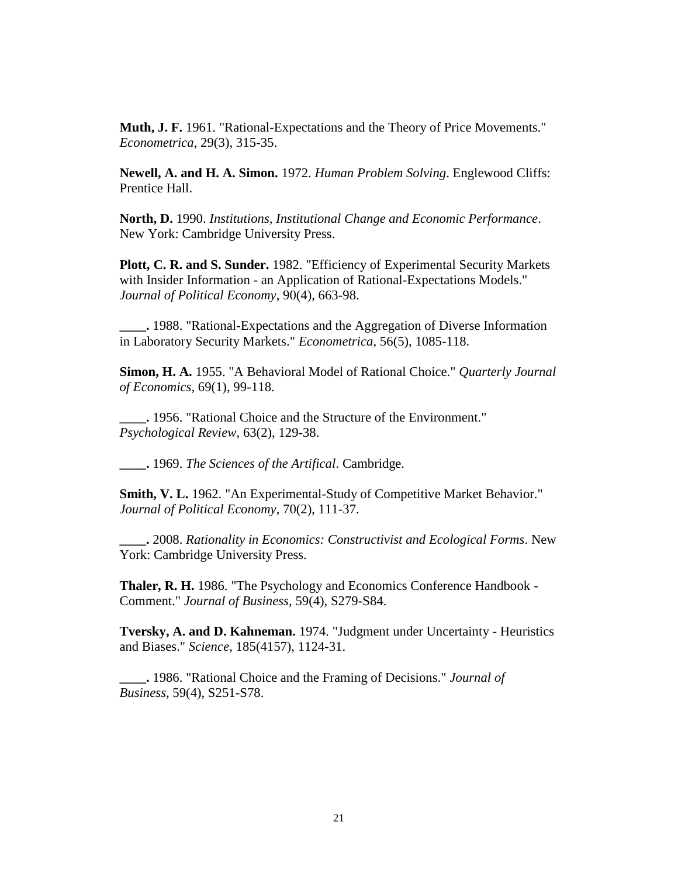**Muth, J. F.** 1961. "Rational-Expectations and the Theory of Price Movements." *Econometrica*, 29(3), 315-35.

**Newell, A. and H. A. Simon.** 1972. *Human Problem Solving*. Englewood Cliffs: Prentice Hall.

**North, D.** 1990. *Institutions, Institutional Change and Economic Performance*. New York: Cambridge University Press.

**Plott, C. R. and S. Sunder.** 1982. "Efficiency of Experimental Security Markets with Insider Information - an Application of Rational-Expectations Models." *Journal of Political Economy*, 90(4), 663-98.

**\_\_\_\_.** 1988. "Rational-Expectations and the Aggregation of Diverse Information in Laboratory Security Markets." *Econometrica*, 56(5), 1085-118.

**Simon, H. A.** 1955. "A Behavioral Model of Rational Choice." *Quarterly Journal of Economics*, 69(1), 99-118.

**\_\_\_\_.** 1956. "Rational Choice and the Structure of the Environment." *Psychological Review*, 63(2), 129-38.

**\_\_\_\_.** 1969. *The Sciences of the Artifical*. Cambridge.

**Smith, V. L.** 1962. "An Experimental-Study of Competitive Market Behavior." *Journal of Political Economy*, 70(2), 111-37.

**\_\_\_\_.** 2008. *Rationality in Economics: Constructivist and Ecological Forms*. New York: Cambridge University Press.

**Thaler, R. H.** 1986. "The Psychology and Economics Conference Handbook - Comment." *Journal of Business*, 59(4), S279-S84.

**Tversky, A. and D. Kahneman.** 1974. "Judgment under Uncertainty - Heuristics and Biases." *Science*, 185(4157), 1124-31.

**\_\_\_\_.** 1986. "Rational Choice and the Framing of Decisions." *Journal of Business*, 59(4), S251-S78.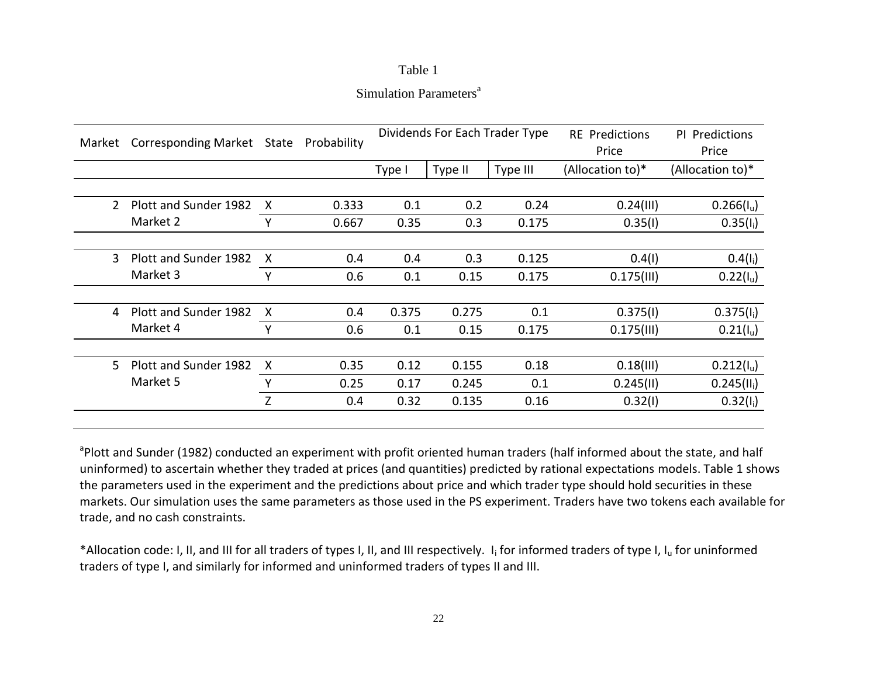# Table 1

# Simulation Parameters<sup>a</sup>

| Market | <b>Corresponding Market</b> | State                     | Probability |        |         | Dividends For Each Trader Type | <b>RE</b> Predictions<br>Price | PI Predictions<br>Price |  |
|--------|-----------------------------|---------------------------|-------------|--------|---------|--------------------------------|--------------------------------|-------------------------|--|
|        |                             |                           |             | Type I | Type II | Type III                       | (Allocation to)*               | (Allocation to)*        |  |
|        |                             |                           |             |        |         |                                |                                |                         |  |
| 2      | Plott and Sunder 1982       | X                         | 0.333       | 0.1    | 0.2     | 0.24                           | 0.24(III)                      | 0.266(I <sub>u</sub> )  |  |
|        | Market 2                    | γ                         | 0.667       | 0.35   | 0.3     | 0.175                          | 0.35(1)                        | $0.35(I_i)$             |  |
|        |                             |                           |             |        |         |                                |                                |                         |  |
| 3      | Plott and Sunder 1982       | X                         | 0.4         | 0.4    | 0.3     | 0.125                          | 0.4(1)                         | $0.4(I_i)$              |  |
|        | Market 3                    | Y                         | 0.6         | 0.1    | 0.15    | 0.175                          | $0.175$ (III)                  | $0.22(1_u)$             |  |
|        |                             |                           |             |        |         |                                |                                |                         |  |
| 4      | Plott and Sunder 1982       | X                         | 0.4         | 0.375  | 0.275   | 0.1                            | 0.375(1)                       | $0.375(I_i)$            |  |
|        | Market 4                    | Υ                         | 0.6         | 0.1    | 0.15    | 0.175                          | $0.175$ (III)                  | 0.21(I <sub>u</sub> )   |  |
|        |                             |                           |             |        |         |                                |                                |                         |  |
| 5.     | Plott and Sunder 1982       | $\boldsymbol{\mathsf{X}}$ | 0.35        | 0.12   | 0.155   | 0.18                           | 0.18(11)                       | 0.212(I <sub>u</sub> )  |  |
|        | Market 5                    | ۷                         | 0.25        | 0.17   | 0.245   | 0.1                            | 0.245(11)                      | $0.245(II_i)$           |  |
|        |                             | Z                         | 0.4         | 0.32   | 0.135   | 0.16                           | 0.32(1)                        | $0.32(I_i)$             |  |

<sup>a</sup>Plott and Sunder (1982) conducted an experiment with profit oriented human traders (half informed about the state, and half uninformed) to ascertain whether they traded at prices (and quantities) predicted by rational expectations models. Table 1 shows the parameters used in the experiment and the predictions about price and which trader type should hold securities in these markets. Our simulation uses the same parameters as those used in the PS experiment. Traders have two tokens each available for trade, and no cash constraints.

\*Allocation code: I, II, and III for all traders of types I, II, and III respectively. I<sub>i</sub> for informed traders of type I, I<sub>u</sub> for uninformed traders of type I, and similarly for informed and uninformed traders of types II and III.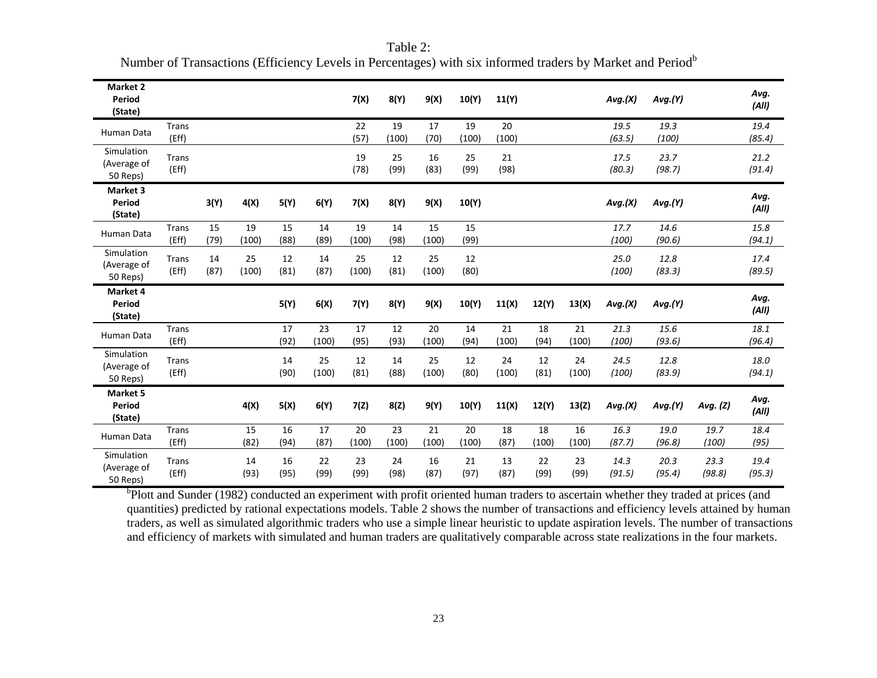| Market 2<br>Period<br>(State)         |                       |            |             |            |             | 7(X)        | 8(Y)        | 9(X)        | 10(Y)       | 11(Y)       |             |             | Avg.(X)        | Avg.(Y)        |                | Avg.<br>(AII)  |
|---------------------------------------|-----------------------|------------|-------------|------------|-------------|-------------|-------------|-------------|-------------|-------------|-------------|-------------|----------------|----------------|----------------|----------------|
| Human Data                            | Trans<br>(Eff)        |            |             |            |             | 22<br>(57)  | 19<br>(100) | 17<br>(70)  | 19<br>(100) | 20<br>(100) |             |             | 19.5<br>(63.5) | 19.3<br>(100)  |                | 19.4<br>(85.4) |
| Simulation<br>(Average of<br>50 Reps) | <b>Trans</b><br>(Eff) |            |             |            |             | 19<br>(78)  | 25<br>(99)  | 16<br>(83)  | 25<br>(99)  | 21<br>(98)  |             |             | 17.5<br>(80.3) | 23.7<br>(98.7) |                | 21.2<br>(91.4) |
| Market 3<br>Period<br>(State)         |                       | 3(Y)       | 4(X)        | 5(Y)       | 6(Y)        | 7(X)        | 8(Y)        | 9(X)        | 10(Y)       |             |             |             | Avg.(X)        | Avg.(Y)        |                | Avg.<br>(AII)  |
| Human Data                            | Trans<br>(Eff)        | 15<br>(79) | 19<br>(100) | 15<br>(88) | 14<br>(89)  | 19<br>(100) | 14<br>(98)  | 15<br>(100) | 15<br>(99)  |             |             |             | 17.7<br>(100)  | 14.6<br>(90.6) |                | 15.8<br>(94.1) |
| Simulation<br>(Average of<br>50 Reps) | <b>Trans</b><br>(Eff) | 14<br>(87) | 25<br>(100) | 12<br>(81) | 14<br>(87)  | 25<br>(100) | 12<br>(81)  | 25<br>(100) | 12<br>(80)  |             |             |             | 25.0<br>(100)  | 12.8<br>(83.3) |                | 17.4<br>(89.5) |
| Market 4<br>Period<br>(State)         |                       |            |             | 5(Y)       | 6(X)        | 7(Y)        | 8(Y)        | 9(X)        | 10(Y)       | 11(X)       | 12(Y)       | 13(X)       | Avg.(X)        | Avg.(Y)        |                | Avg.<br>(AII)  |
| Human Data                            | Trans<br>(Eff)        |            |             | 17<br>(92) | 23<br>(100) | 17<br>(95)  | 12<br>(93)  | 20<br>(100) | 14<br>(94)  | 21<br>(100) | 18<br>(94)  | 21<br>(100) | 21.3<br>(100)  | 15.6<br>(93.6) |                | 18.1<br>(96.4) |
| Simulation<br>(Average of<br>50 Reps) | <b>Trans</b><br>(Eff) |            |             | 14<br>(90) | 25<br>(100) | 12<br>(81)  | 14<br>(88)  | 25<br>(100) | 12<br>(80)  | 24<br>(100) | 12<br>(81)  | 24<br>(100) | 24.5<br>(100)  | 12.8<br>(83.9) |                | 18.0<br>(94.1) |
| <b>Market 5</b><br>Period<br>(State)  |                       |            | 4(X)        | 5(X)       | 6(Y)        | 7(2)        | 8(Z)        | 9(Y)        | 10(Y)       | 11(X)       | 12(Y)       | 13(Z)       | Avg.(X)        | Avg.(Y)        | Avg. (Z)       | Avg.<br>(AII)  |
| Human Data                            | Trans<br>(Eff)        |            | 15<br>(82)  | 16<br>(94) | 17<br>(87)  | 20<br>(100) | 23<br>(100) | 21<br>(100) | 20<br>(100) | 18<br>(87)  | 18<br>(100) | 16<br>(100) | 16.3<br>(87.7) | 19.0<br>(96.8) | 19.7<br>(100)  | 18.4<br>(95)   |
| Simulation<br>(Average of<br>50 Reps) | Trans<br>(Eff)        |            | 14<br>(93)  | 16<br>(95) | 22<br>(99)  | 23<br>(99)  | 24<br>(98)  | 16<br>(87)  | 21<br>(97)  | 13<br>(87)  | 22<br>(99)  | 23<br>(99)  | 14.3<br>(91.5) | 20.3<br>(95.4) | 23.3<br>(98.8) | 19.4<br>(95.3) |

Table 2: Number of Transactions (Efficiency Levels in Percentages) with six informed traders by Market and Period<sup>b</sup>

<sup>b</sup>Plott and Sunder (1982) conducted an experiment with profit oriented human traders to ascertain whether they traded at prices (and quantities) predicted by rational expectations models. Table 2 shows the number of transactions and efficiency levels attained by human traders, as well as simulated algorithmic traders who use a simple linear heuristic to update aspiration levels. The number of transactions and efficiency of markets with simulated and human traders are qualitatively comparable across state realizations in the four markets.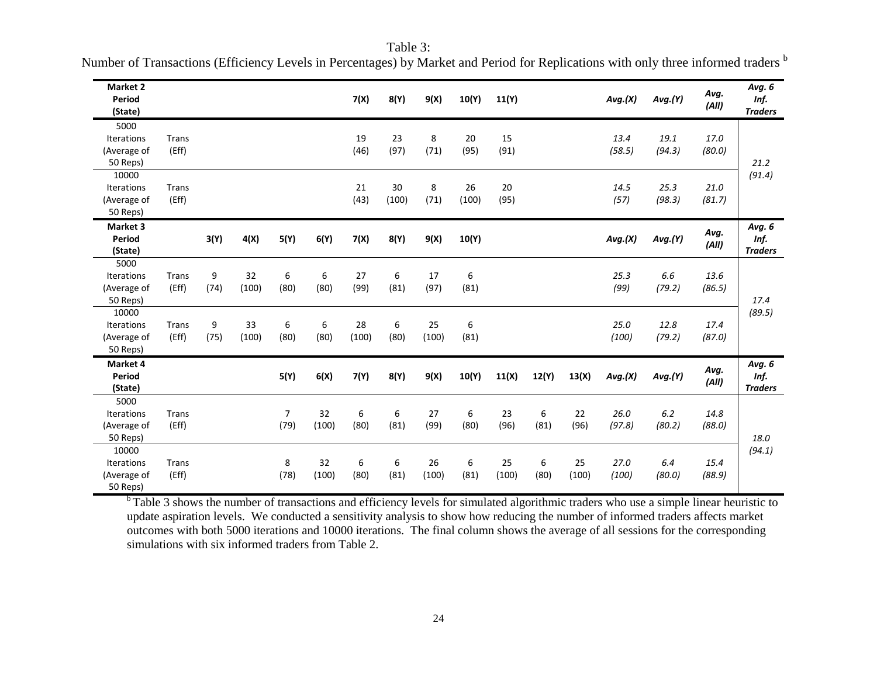| Market 2<br>Period<br>(State)                         |                       |           |             |                        |             | 7(X)        | 8(Y)        | 9(X)        | 10(Y)       | 11(Y)       |           |             | Avg.(X)        | Avg.(Y)        | Avg.<br>(AII)  | Avg. 6<br>Inf.<br><b>Traders</b> |
|-------------------------------------------------------|-----------------------|-----------|-------------|------------------------|-------------|-------------|-------------|-------------|-------------|-------------|-----------|-------------|----------------|----------------|----------------|----------------------------------|
| 5000<br><b>Iterations</b><br>(Average of<br>50 Reps)  | <b>Trans</b><br>(Eff) |           |             |                        |             | 19<br>(46)  | 23<br>(97)  | 8<br>(71)   | 20<br>(95)  | 15<br>(91)  |           |             | 13.4<br>(58.5) | 19.1<br>(94.3) | 17.0<br>(80.0) | 21.2<br>(91.4)                   |
| 10000<br><b>Iterations</b><br>(Average of<br>50 Reps) | <b>Trans</b><br>(Eff) |           |             |                        |             | 21<br>(43)  | 30<br>(100) | 8<br>(71)   | 26<br>(100) | 20<br>(95)  |           |             | 14.5<br>(57)   | 25.3<br>(98.3) | 21.0<br>(81.7) |                                  |
| Market 3<br>Period<br>(State)                         |                       | 3(Y)      | 4(X)        | 5(Y)                   | 6(Y)        | 7(X)        | 8(Y)        | 9(X)        | 10(Y)       |             |           |             | Avg.(X)        | Avg.(Y)        | Avg.<br>(AII)  | Avg. 6<br>Inf.<br><b>Traders</b> |
| 5000<br><b>Iterations</b><br>(Average of<br>50 Reps)  | Trans<br>(Eff)        | 9<br>(74) | 32<br>(100) | 6<br>(80)              | 6<br>(80)   | 27<br>(99)  | 6<br>(81)   | 17<br>(97)  | 6<br>(81)   |             |           |             | 25.3<br>(99)   | 6.6<br>(79.2)  | 13.6<br>(86.5) | 17.4<br>(89.5)                   |
| 10000<br>Iterations<br>(Average of<br>50 Reps)        | Trans<br>(Eff)        | 9<br>(75) | 33<br>(100) | 6<br>(80)              | 6<br>(80)   | 28<br>(100) | 6<br>(80)   | 25<br>(100) | 6<br>(81)   |             |           |             | 25.0<br>(100)  | 12.8<br>(79.2) | 17.4<br>(87.0) |                                  |
| Market 4<br>Period<br>(State)                         |                       |           |             | 5(Y)                   | 6(X)        | 7(Y)        | 8(Y)        | 9(X)        | 10(Y)       | 11(X)       | 12(Y)     | 13(X)       | Avg.(X)        | Avg.(Y)        | Avg.<br>(AII)  | Avg. 6<br>Inf.<br><b>Traders</b> |
| 5000<br>Iterations<br>(Average of<br>50 Reps)         | <b>Trans</b><br>(Eff) |           |             | $\overline{7}$<br>(79) | 32<br>(100) | 6<br>(80)   | 6<br>(81)   | 27<br>(99)  | 6<br>(80)   | 23<br>(96)  | 6<br>(81) | 22<br>(96)  | 26.0<br>(97.8) | 6.2<br>(80.2)  | 14.8<br>(88.0) | 18.0<br>(94.1)                   |
| 10000<br>Iterations<br>(Average of<br>50 Reps)        | <b>Trans</b><br>(Eff) |           |             | 8<br>(78)              | 32<br>(100) | 6<br>(80)   | 6<br>(81)   | 26<br>(100) | 6<br>(81)   | 25<br>(100) | 6<br>(80) | 25<br>(100) | 27.0<br>(100)  | 6.4<br>(80.0)  | 15.4<br>(88.9) |                                  |

Table 3: Number of Transactions (Efficiency Levels in Percentages) by Market and Period for Replications with only three informed traders  $^b$ 

<sup>b</sup> Table 3 shows the number of transactions and efficiency levels for simulated algorithmic traders who use a simple linear heuristic to update aspiration levels. We conducted a sensitivity analysis to show how reducing the number of informed traders affects market outcomes with both 5000 iterations and 10000 iterations. The final column shows the average of all sessions for the corresponding simulations with six informed traders from Table 2.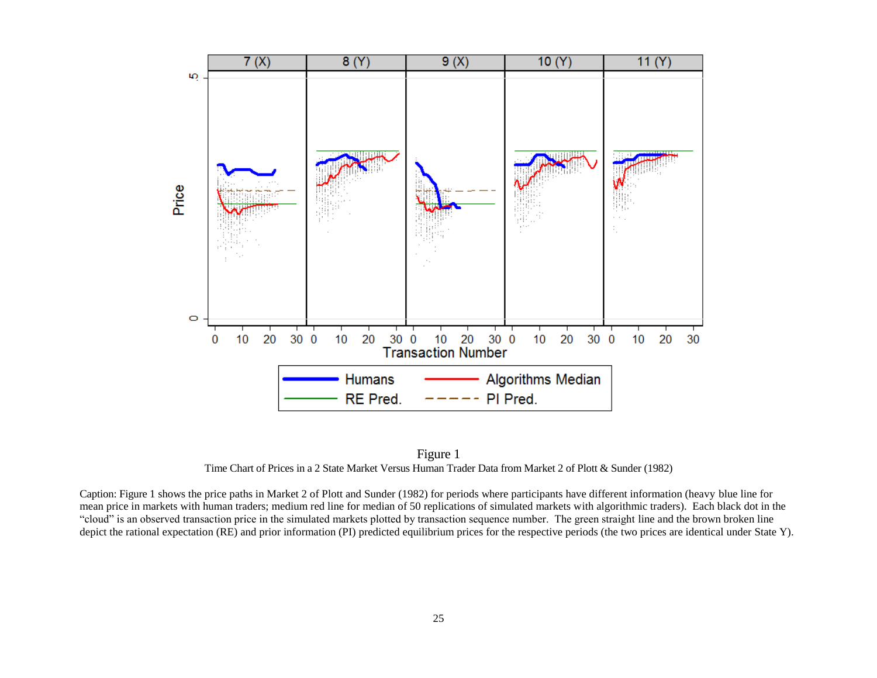

Figure 1 Time Chart of Prices in a 2 State Market Versus Human Trader Data from Market 2 of Plott & Sunder (1982)

Caption: Figure 1 shows the price paths in Market 2 of Plott and Sunder (1982) for periods where participants have different information (heavy blue line for mean price in markets with human traders; medium red line for median of 50 replications of simulated markets with algorithmic traders). Each black dot in the "cloud" is an observed transaction price in the simulated markets plotted by transaction sequence number. The green straight line and the brown broken line depict the rational expectation (RE) and prior information (PI) predicted equilibrium prices for the respective periods (the two prices are identical under State Y).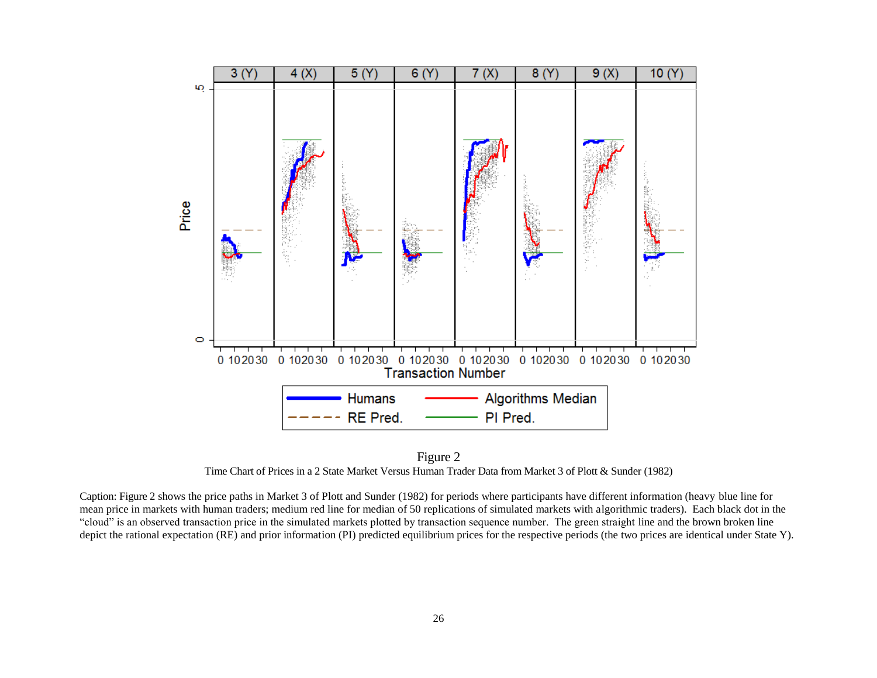

Figure 2 Time Chart of Prices in a 2 State Market Versus Human Trader Data from Market 3 of Plott & Sunder (1982)

Caption: Figure 2 shows the price paths in Market 3 of Plott and Sunder (1982) for periods where participants have different information (heavy blue line for mean price in markets with human traders; medium red line for median of 50 replications of simulated markets with algorithmic traders). Each black dot in the "cloud" is an observed transaction price in the simulated markets plotted by transaction sequence number. The green straight line and the brown broken line depict the rational expectation (RE) and prior information (PI) predicted equilibrium prices for the respective periods (the two prices are identical under State Y).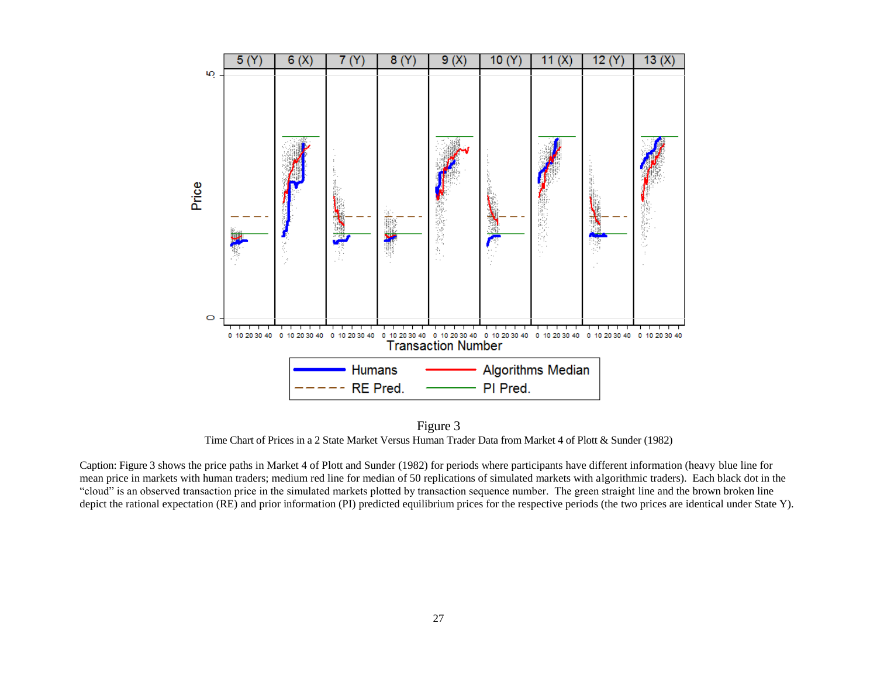

Figure 3 Time Chart of Prices in a 2 State Market Versus Human Trader Data from Market 4 of Plott & Sunder (1982)

Caption: Figure 3 shows the price paths in Market 4 of Plott and Sunder (1982) for periods where participants have different information (heavy blue line for mean price in markets with human traders; medium red line for median of 50 replications of simulated markets with algorithmic traders). Each black dot in the "cloud" is an observed transaction price in the simulated markets plotted by transaction sequence number. The green straight line and the brown broken line depict the rational expectation (RE) and prior information (PI) predicted equilibrium prices for the respective periods (the two prices are identical under State Y).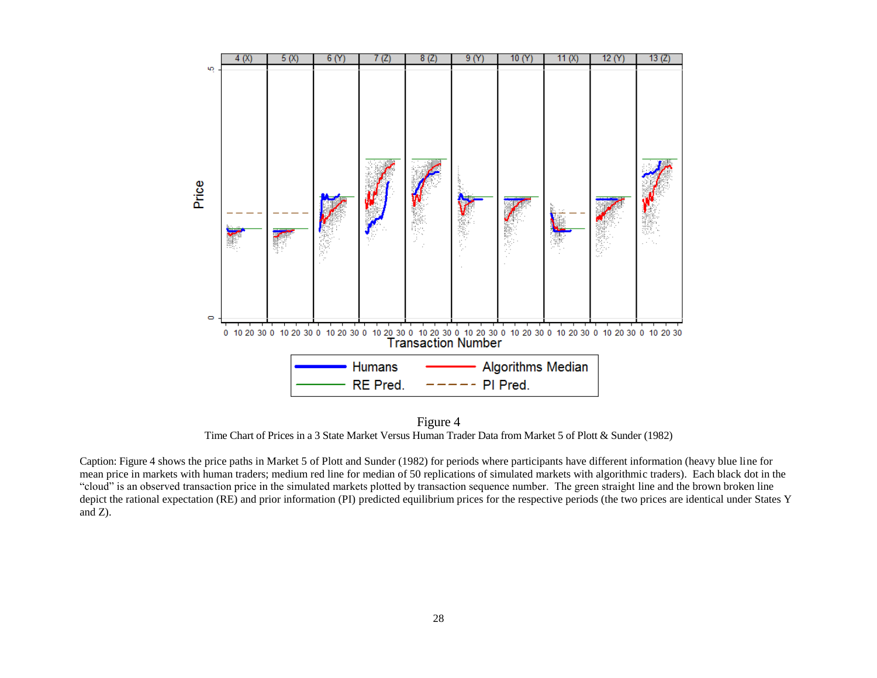

Figure 4 Time Chart of Prices in a 3 State Market Versus Human Trader Data from Market 5 of Plott & Sunder (1982)

Caption: Figure 4 shows the price paths in Market 5 of Plott and Sunder (1982) for periods where participants have different information (heavy blue line for mean price in markets with human traders; medium red line for median of 50 replications of simulated markets with algorithmic traders). Each black dot in the "cloud" is an observed transaction price in the simulated markets plotted by transaction sequence number. The green straight line and the brown broken line depict the rational expectation (RE) and prior information (PI) predicted equilibrium prices for the respective periods (the two prices are identical under States Y and Z).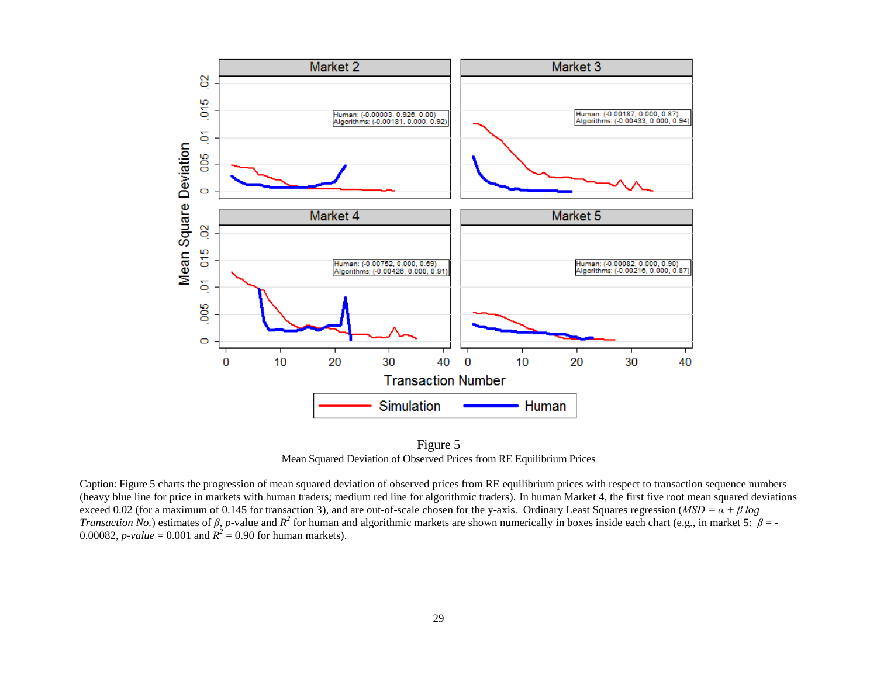

Figure 5 Mean Squared Deviation of Observed Prices from RE Equilibrium Prices

Caption: Figure 5 charts the progression of mean squared deviation of observed prices from RE equilibrium prices with respect to transaction sequence numbers (heavy blue line for price in markets with human traders; medium red line for algorithmic traders). In human Market 4, the first five root mean squared deviations exceed 0.02 (for a maximum of 0.145 for transaction 3), and are out-of-scale chosen for the y-axis. Ordinary Least Squares regression (*MSD* =  $\alpha + \beta \log \alpha$ *Transaction No.*) estimates of  $\beta$ , *p*-value and  $R^2$  for human and algorithmic markets are shown numerically in boxes inside each chart (e.g., in market 5:  $\beta$  = -0.00082, *p*-value = 0.001 and  $R^2 = 0.90$  for human markets).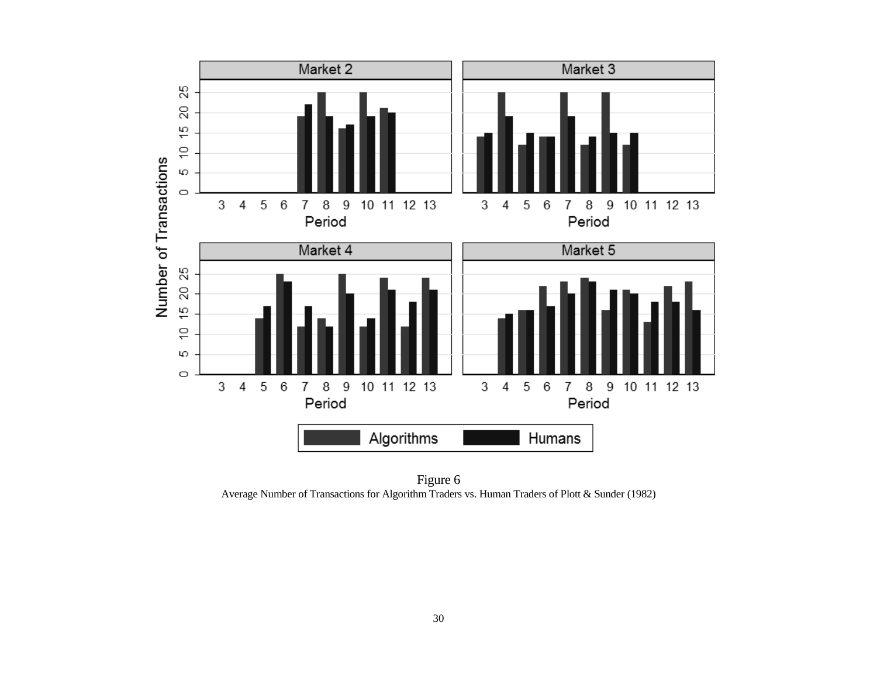

Figure 6 Average Number of Transactions for Algorithm Traders vs. Human Traders of Plott & Sunder (1982)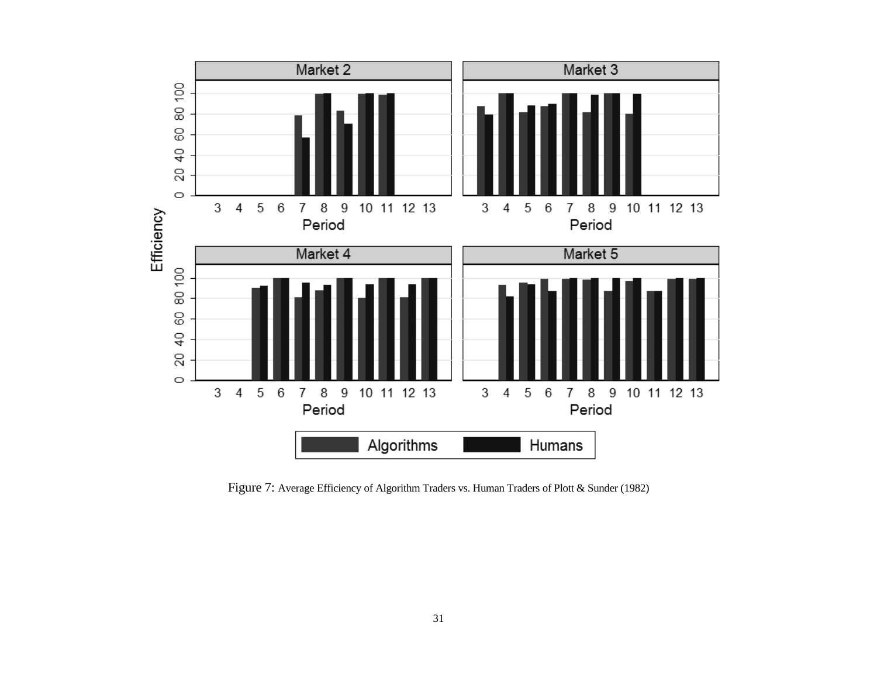

Figure 7: Average Efficiency of Algorithm Traders vs. Human Traders of Plott & Sunder (1982)